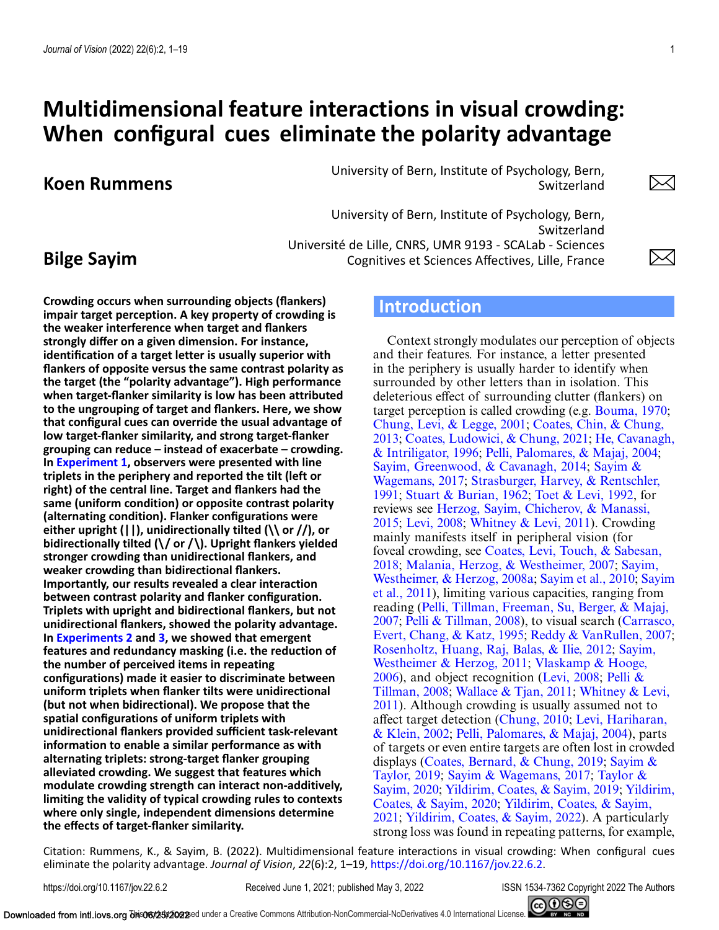# **Multidimensional feature interactions in visual crowding: When configural cues eliminate the polarity advantage**

# **Koen Rummens**

University of Bern, Institute of Psychology, Bern, Switzerland

University of Bern, Institute of Psychology, Bern, Switzerland Université de Lille, CNRS, UMR 9193 - SCALab - Sciences Cognitives et Sciences Affectives, Lille, France

# **Bilge Sayim**

**Crowding occurs when surrounding objects (flankers) impair target perception. A key property of crowding is the weaker interference when target and flankers strongly differ on a given dimension. For instance, identification of a target letter is usually superior with flankers of opposite versus the same contrast polarity as the target (the "polarity advantage"). High performance when target-flanker similarity is low has been attributed to the ungrouping of target and flankers. Here, we show that configural cues can override the usual advantage of low target-flanker similarity, and strong target-flanker grouping can reduce – instead of exacerbate – crowding. In [Experiment 1,](#page-3-0) observers were presented with line triplets in the periphery and reported the tilt (left or right) of the central line. Target and flankers had the same (uniform condition) or opposite contrast polarity (alternating condition). Flanker configurations were either upright (||), unidirectionally tilted (\\ or //), or bidirectionally tilted (\/ or /\). Upright flankers yielded stronger crowding than unidirectional flankers, and weaker crowding than bidirectional flankers. Importantly, our results revealed a clear interaction between contrast polarity and flanker configuration. Triplets with upright and bidirectional flankers, but not unidirectional flankers, showed the polarity advantage. In [Experiments 2](#page-6-0) and [3,](#page-8-0) we showed that emergent features and redundancy masking (i.e. the reduction of the number of perceived items in repeating configurations) made it easier to discriminate between uniform triplets when flanker tilts were unidirectional (but not when bidirectional). We propose that the spatial configurations of uniform triplets with unidirectional flankers provided sufficient task-relevant information to enable a similar performance as with alternating triplets: strong-target flanker grouping alleviated crowding. We suggest that features which modulate crowding strength can interact non-additively, limiting the validity of typical crowding rules to contexts where only single, independent dimensions determine the effects of target-flanker similarity.**

# **Introduction**

Context strongly modulates our perception of objects and their features. For instance, a letter presented in the periphery is usually harder to identify when surrounded by other letters than in isolation. This deleterious effect of surrounding clutter (flankers) on target perception is called crowding (e.g. [Bouma, 1970;](#page-15-0) [Chung, Levi, & Legge, 2001;](#page-15-0) Coates, Chin, & Chung, 2013; [Coates, Ludowici, & Chung, 2021;](#page-15-0) He, Cavanagh, & Intriligator, 1996; [Pelli, Palomares, & Majaj, 2004;](#page-16-0) [Sayim, Greenwood, & Cavanagh, 2014;](#page-17-0) Sayim & Wagemans, 2017; [Strasburger, Harvey, & Rentschler,](#page-17-0) 1991; [Stuart & Burian, 1962;](#page-17-0) [Toet & Levi, 1992,](#page-17-0) for reviews see [Herzog, Sayim, Chicherov, & Manassi,](#page-16-0) 2015; [Levi, 2008;](#page-16-0) [Whitney & Levi, 2011\)](#page-17-0). Crowding mainly manifests itself in peripheral vision (for foveal crowding, see Coates, Levi, Touch, & Sabesan, 2018; [Malania, Herzog, & Westheimer, 2007;](#page-15-0) Sayim, Westheimer, & Herzog, 2008a; [Sayim et al., 2010;](#page-17-0) Sayim [et al., 2011\), limiting various capacities, ranging from](#page-17-0) [reading \(Pelli, Tillman, Freeman, Su, Berger, & Majaj,](#page-16-0) 2007; [Pelli & Tillman, 2008](#page-16-0)[\), to visual search \(Carrasco,](#page-15-0) Evert, Chang, & Katz, 1995; [Reddy & VanRullen, 2007;](#page-17-0) [Rosenholtz, Huang, Raj, Balas, & Ilie, 2012;](#page-17-0) Sayim, Westheimer & Herzog, 2011; Vlaskamp & Hooge,  $2006$ ), and object recognition (Levi, 2008; Pelli & Tillman, 2008; [Wallace & Tjan, 2011;](#page-17-0) Whitney & Levi, [2011\). Although crowding is usually assumed not to](#page-17-0) affect target detection [\(Chung, 2010;](#page-15-0) Levi, Hariharan, & Klein, 2002; [Pelli, Palomares, & Majaj, 2004\), parts](#page-16-0) of targets or even entire targets are often lost in crowded [displays \(](#page-17-0)[Coates, Bernard, & Chung, 2019](#page-15-0)[;](#page-17-0) Sayim & Taylor, 2019; [Sayim & Wagemans, 2017;](#page-17-0) Taylor & Sayim, 2020; [Yildirim, Coates, & Sayim, 2019;](#page-17-0) Yildirim, Coates, & Sayim, 2020; Yildirim, Coates, & Sayim, 2021; [Yildirim, Coates, & Sayim, 2022\). A particula](#page-18-0)rly strong loss was found in repeating patterns, for example,

Citation: Rummens, K., & Sayim, B. (2022). Multidimensional feature interactions in visual crowding: When configural cues eliminate the polarity advantage. *Journal of Vision*, *22*(6):2, 1–19, [https://doi.org/10.1167/jov.22.6.2.](https://doi.org/10.1167/jov.22.6.2)

https://doi.org/10.1167/jov.22.6.2 Received June 1, 2021; published May 3, 2022 ISSN 1534-7362 Copyright 2022 The Authors



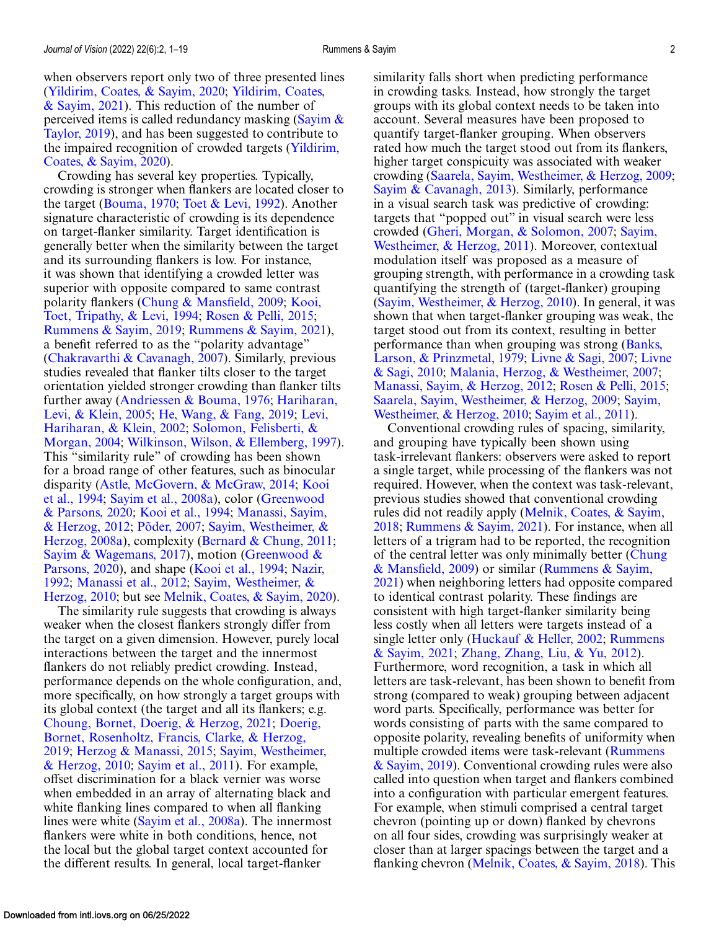Crowding has several key properties. Typically, crowding is stronger when flankers are located closer to the target [\(Bouma, 1970;](#page-15-0) [Toet & Levi, 1992\)](#page-17-0). Another signature characteristic of crowding is its dependence on target-flanker similarity. Target identification is generally better when the similarity between the target and its surrounding flankers is low. For instance, it was shown that identifying a crowded letter was superior with opposite compared to same contrast [polarity flankers \(](#page-16-0)[Chung & Mansfield, 2009](#page-15-0)[;](#page-16-0) Kooi, Toet, Tripathy, & Levi, 1994; [Rosen & Pelli, 2015;](#page-17-0) [Rummens & Sayim, 2019;](#page-17-0) [Rummens & Sayim, 2021\)](#page-17-0), a benefit referred to as the "polarity advantage" [\(Chakravarthi & Cavanagh, 2007\)](#page-15-0). Similarly, previous studies revealed that flanker tilts closer to the target orientation yielded stronger crowding than flanker tilts [further away \(](#page-16-0)[Andriessen & Bouma, 1976](#page-15-0)[;](#page-16-0) Hariharan, Levi, & Klein, 2005; [He, Wang, & Fang, 2019;](#page-16-0) Levi, [Hariharan, & Klein, 2002;](#page-16-0) Solomon, Felisberti, & Morgan, 2004; [Wilkinson, Wilson, & Ellemberg, 1997\)](#page-17-0). This "similarity rule" of crowding has been shown for a broad range of other features, such as binocular [disparity \(](#page-16-0)[Astle, McGovern, & McGraw, 2014](#page-15-0)[;](#page-16-0) Kooi et al., 1994; [Sayim et al., 2008a](#page-17-0)[\), color \(Greenwood](#page-15-0) & Parsons, 2020; [Kooi et al., 1994;](#page-16-0) Manassi, Sayim, & Herzog, 2012; [Põder, 2007;](#page-16-0) [Sayim, Westheimer, &](#page-16-0) [Herzog, 2008a\), complexity \(Bernard & Chung, 201](#page-17-0)[1;](#page-15-0) [Sayim & Wagemans, 2017](#page-17-0)[\), motion \(Greenwood &](#page-15-0) [Parsons, 2020\), and shape \(Kooi et al., 1994;](#page-16-0) Nazir, 1992; [Manassi et al., 2012;](#page-16-0) Sayim, Westheimer, & Herzog, 2010; but see [Melnik, Coates, & Sayim, 2](#page-17-0)[020\)](#page-16-0).

The similarity rule suggests that crowding is always weaker when the closest flankers strongly differ from the target on a given dimension. However, purely local interactions between the target and the innermost flankers do not reliably predict crowding. Instead, performance depends on the whole configuration, and, more specifically, on how strongly a target groups with its global context (the target and all its flankers; e.g. [Choung, Bornet, Doerig, & Herzog, 2021;](#page-15-0) Doerig, [Bornet, Rosenholtz, Francis, Clarke, & Herzog,](#page-15-0) 2019; [Herzog & Manassi, 2015;](#page-16-0) Sayim, Westheimer, & Herzog, 2010; [Sayim et al., 2011\). For example,](#page-17-0) offset discrimination for a black vernier was worse when embedded in an array of alternating black and white flanking lines compared to when all flanking lines were white [\(Sayim et al., 2008a\)](#page-17-0). The innermost flankers were white in both conditions, hence, not the local but the global target context accounted for the different results. In general, local target-flanker

similarity falls short when predicting performance in crowding tasks. Instead, how strongly the target groups with its global context needs to be taken into account. Several measures have been proposed to quantify target-flanker grouping. When observers rated how much the target stood out from its flankers, higher target conspicuity was associated with weaker crowding [\(Saarela, Sayim, Westheimer, & Herzog, 2009;](#page-17-0) [Sayim & Cavanagh, 2013\)](#page-17-0). Similarly, performance in a visual search task was predictive of crowding: targets that "popped out" in visual search were less crowded [\(Gheri, Morgan, & Solomon, 2007;](#page-15-0) Sayim, [Westheimer, & Herzog, 2011\). Moreover, contextual](#page-17-0) modulation itself was proposed as a measure of grouping strength, with performance in a crowding task quantifying the strength of (target-flanker) grouping [\(Sayim, Westheimer, & Herzog, 2010\)](#page-17-0). In general, it was shown that when target-flanker grouping was weak, the target stood out from its context, resulting in better [performance than when grouping was strong \(Banks,](#page-15-0) Larson, & Prinzmetal, 1979; [Livne & Sagi, 2007;](#page-16-0) Livne & Sagi, 2010; [Malania, Herzog, & Westheimer, 2007;](#page-16-0) [Manassi, Sayim, & Herzog, 2012;](#page-16-0) [Rosen & Pelli, 2015;](#page-17-0) [Saarela, Sayim, Westheimer, & Herzog, 2009;](#page-17-0) Sayim, Westheimer, & Herzog, 2010; [Sayim et al., 2011\)](#page-17-0).

Conventional crowding rules of spacing, similarity, and grouping have typically been shown using task-irrelevant flankers: observers were asked to report a single target, while processing of the flankers was not required. However, when the context was task-relevant, previous studies showed that conventional crowding [rules did not readily apply \(Melnik, Coates, & Sayim,](#page-16-0) 2018; [Rummens & Sayim, 2021\)](#page-17-0). For instance, when all letters of a trigram had to be reported, the recognition [of the central letter was only minimally better \(Chung](#page-15-0) & Mansfield, 2009) or similar (Rummens & Sayim, [2021\) when neighboring letters had opposite compa](#page-17-0)red to identical contrast polarity. These findings are consistent with high target-flanker similarity being less costly when all letters were targets instead of a [single letter only \(](#page-17-0)[Huckauf & Heller, 2002](#page-16-0)[;](#page-17-0) Rummens & Sayim, 2021; [Zhang, Zhang, Liu, & Yu, 2012\)](#page-18-0). Furthermore, word recognition, a task in which all letters are task-relevant, has been shown to benefit from strong (compared to weak) grouping between adjacent word parts. Specifically, performance was better for words consisting of parts with the same compared to opposite polarity, revealing benefits of uniformity when multiple crowded items were task-relevant (Rummens [& Sayim, 2019\). Conventional crowding rules were also](#page-17-0) called into question when target and flankers combined into a configuration with particular emergent features. For example, when stimuli comprised a central target chevron (pointing up or down) flanked by chevrons on all four sides, crowding was surprisingly weaker at closer than at larger spacings between the target and a flanking chevron [\(Melnik, Coates, & Sayim, 2018\)](#page-16-0). This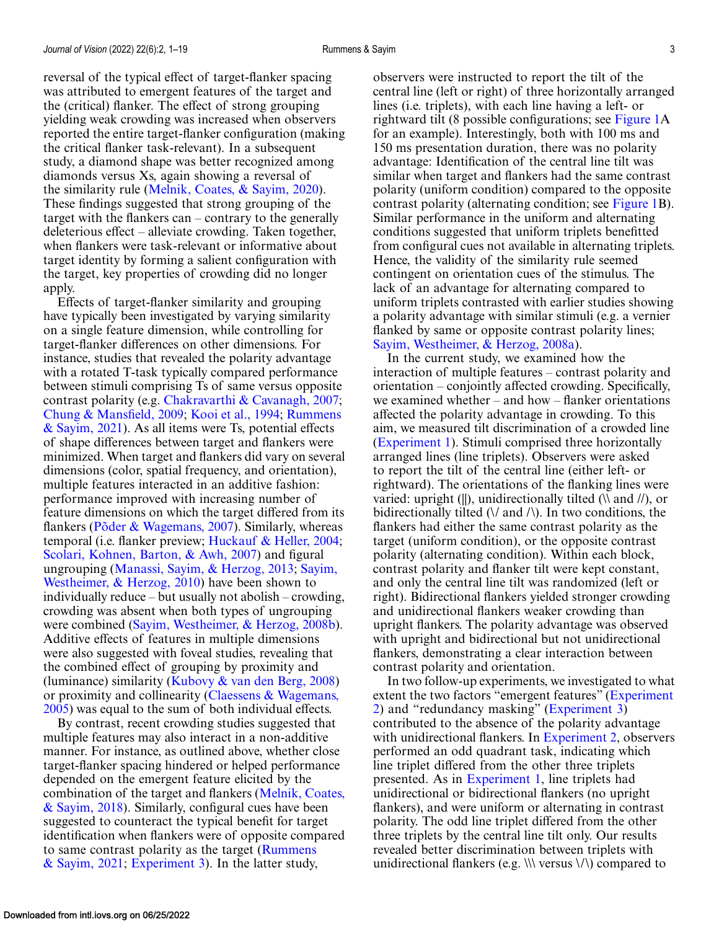reversal of the typical effect of target-flanker spacing was attributed to emergent features of the target and the (critical) flanker. The effect of strong grouping yielding weak crowding was increased when observers reported the entire target-flanker configuration (making the critical flanker task-relevant). In a subsequent study, a diamond shape was better recognized among diamonds versus Xs, again showing a reversal of the similarity rule [\(Melnik, Coates, & Sayim, 2020\)](#page-16-0). These findings suggested that strong grouping of the target with the flankers can – contrary to the generally deleterious effect – alleviate crowding. Taken together, when flankers were task-relevant or informative about target identity by forming a salient configuration with the target, key properties of crowding did no longer apply.

Effects of target-flanker similarity and grouping have typically been investigated by varying similarity on a single feature dimension, while controlling for target-flanker differences on other dimensions. For instance, studies that revealed the polarity advantage with a rotated T-task typically compared performance between stimuli comprising Ts of same versus opposite contrast polarity (e.g. [Chakravarthi & Cavanagh, 2007;](#page-15-0) [Chung & Mansfield, 2009;](#page-15-0) [Kooi et al., 1994;](#page-16-0) Rummens [& Sayim, 2021\). As all items were Ts, potential effects](#page-17-0) of shape differences between target and flankers were minimized. When target and flankers did vary on several dimensions (color, spatial frequency, and orientation), multiple features interacted in an additive fashion: performance improved with increasing number of feature dimensions on which the target differed from its flankers [\(Põder & Wagemans, 2007\)](#page-16-0). Similarly, whereas temporal (i.e. flanker preview; [Huckauf & Heller, 2004;](#page-16-0) [Scolari, Kohnen, Barton, & Awh, 2007\)](#page-17-0) and figural ungrouping [\(Manassi, Sayim, & Herzog, 2013;](#page-16-0) Sayim, [Westheimer, & Herzog, 2010\) have been shown to](#page-17-0) individually reduce – but usually not abolish – crowding, crowding was absent when both types of ungrouping were combined [\(Sayim, Westheimer, & Herzog, 2008b\)](#page-17-0). Additive effects of features in multiple dimensions were also suggested with foveal studies, revealing that the combined effect of grouping by proximity and (luminance) similarity (Kubovy  $\&$  van den Berg, 2008) [or proximity and collinearity \(Claessens & Wagemans,](#page-15-0) 2005) was equal to the sum of both individual effects.

By contrast, recent crowding studies suggested that multiple features may also interact in a non-additive manner. For instance, as outlined above, whether close target-flanker spacing hindered or helped performance depended on the emergent feature elicited by the [combination of the target and flankers \(Melnik, Coates,](#page-16-0) & Sayim, 2018). Similarly, configural cues have been suggested to counteract the typical benefit for target identification when flankers were of opposite compared [to same contrast polarity as the target \(Rummens](#page-17-0) & Sayim, 2021; [Experiment 3\)](#page-8-0). In the latter study,

observers were instructed to report the tilt of the central line (left or right) of three horizontally arranged lines (i.e. triplets), with each line having a left- or rightward tilt (8 possible configurations; see [Figure 1A](#page-3-0) for an example). Interestingly, both with 100 ms and 150 ms presentation duration, there was no polarity advantage: Identification of the central line tilt was similar when target and flankers had the same contrast polarity (uniform condition) compared to the opposite contrast polarity (alternating condition; see [Figure 1B](#page-3-0)). Similar performance in the uniform and alternating conditions suggested that uniform triplets benefitted from configural cues not available in alternating triplets. Hence, the validity of the similarity rule seemed contingent on orientation cues of the stimulus. The lack of an advantage for alternating compared to uniform triplets contrasted with earlier studies showing a polarity advantage with similar stimuli (e.g. a vernier flanked by same or opposite contrast polarity lines; [Sayim, Westheimer, & Herzog, 2008a\)](#page-17-0).

In the current study, we examined how the interaction of multiple features – contrast polarity and orientation – conjointly affected crowding. Specifically, we examined whether – and how – flanker orientations affected the polarity advantage in crowding. To this aim, we measured tilt discrimination of a crowded line [\(Experiment 1\)](#page-3-0). Stimuli comprised three horizontally arranged lines (line triplets). Observers were asked to report the tilt of the central line (either left- or rightward). The orientations of the flanking lines were varied: upright (||), unidirectionally tilted ( $\lambda$  and  $\ell$ ), or bidirectionally tilted  $(\sqrt{a} \text{ and } \sqrt{b})$ . In two conditions, the flankers had either the same contrast polarity as the target (uniform condition), or the opposite contrast polarity (alternating condition). Within each block, contrast polarity and flanker tilt were kept constant, and only the central line tilt was randomized (left or right). Bidirectional flankers yielded stronger crowding and unidirectional flankers weaker crowding than upright flankers. The polarity advantage was observed with upright and bidirectional but not unidirectional flankers, demonstrating a clear interaction between contrast polarity and orientation.

In two follow-up experiments, we investigated to what [extent the two factors "emergent features" \(Experiment](#page-6-0) 2) and "redundancy masking" [\(Experiment 3\)](#page-8-0) contributed to the absence of the polarity advantage with unidirectional flankers. In [Experiment 2,](#page-6-0) observers performed an odd quadrant task, indicating which line triplet differed from the other three triplets presented. As in [Experiment 1,](#page-3-0) line triplets had unidirectional or bidirectional flankers (no upright flankers), and were uniform or alternating in contrast polarity. The odd line triplet differed from the other three triplets by the central line tilt only. Our results revealed better discrimination between triplets with unidirectional flankers (e.g.  $\|\cdot\|$  versus  $\langle\cdot\rangle$ ) compared to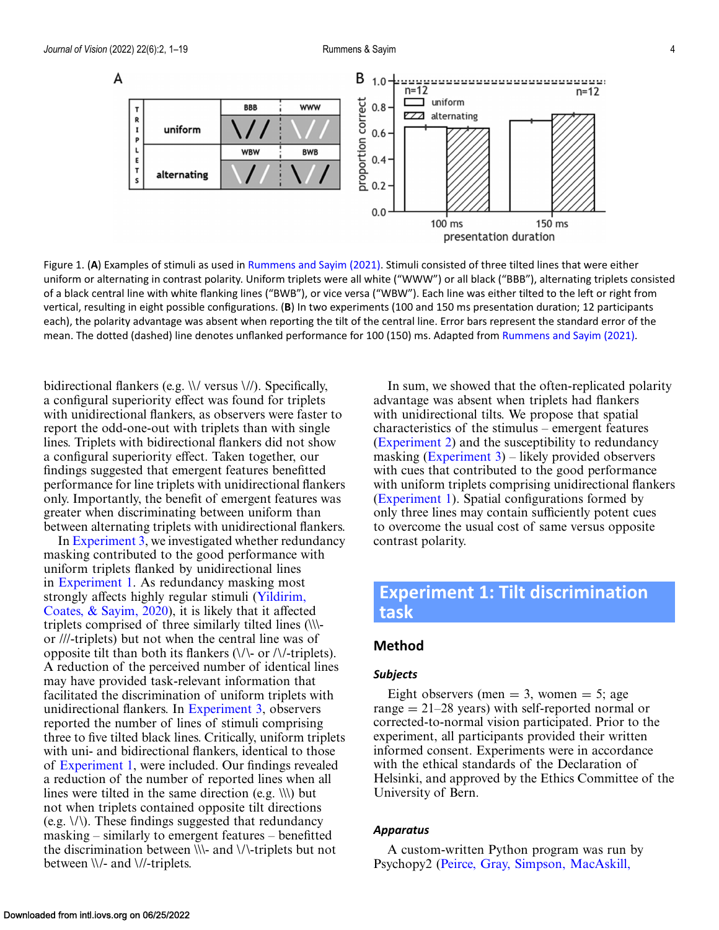<span id="page-3-0"></span>

Figure 1. (**A**) Examples of stimuli as used in [Rummens and Sayim \(2021\).](#page-17-0) Stimuli consisted of three tilted lines that were either uniform or alternating in contrast polarity. Uniform triplets were all white ("WWW") or all black ("BBB"), alternating triplets consisted of a black central line with white flanking lines ("BWB"), or vice versa ("WBW"). Each line was either tilted to the left or right from vertical, resulting in eight possible configurations. (**B**) In two experiments (100 and 150 ms presentation duration; 12 participants each), the polarity advantage was absent when reporting the tilt of the central line. Error bars represent the standard error of the mean. The dotted (dashed) line denotes unflanked performance for 100 (150) ms. Adapted from [Rummens and Sayim \(2021\).](#page-17-0)

bidirectional flankers (e.g. \\/ versus \//). Specifically, a configural superiority effect was found for triplets with unidirectional flankers, as observers were faster to report the odd-one-out with triplets than with single lines. Triplets with bidirectional flankers did not show a configural superiority effect. Taken together, our findings suggested that emergent features benefitted performance for line triplets with unidirectional flankers only. Importantly, the benefit of emergent features was greater when discriminating between uniform than between alternating triplets with unidirectional flankers.

In [Experiment 3,](#page-8-0) we investigated whether redundancy masking contributed to the good performance with uniform triplets flanked by unidirectional lines in Experiment 1. As redundancy masking most strongly affects highly regular stimuli (Yildirim, [Coates, & Sayim, 2020\), it is likely that it affecte](#page-18-0)d triplets comprised of three similarly tilted lines (\\\ or ///-triplets) but not when the central line was of opposite tilt than both its flankers  $(\sqrt{\ }$  or  $/\sqrt{\ }$ -triplets). A reduction of the perceived number of identical lines may have provided task-relevant information that facilitated the discrimination of uniform triplets with unidirectional flankers. In [Experiment 3,](#page-8-0) observers reported the number of lines of stimuli comprising three to five tilted black lines. Critically, uniform triplets with uni- and bidirectional flankers, identical to those of Experiment 1, were included. Our findings revealed a reduction of the number of reported lines when all lines were tilted in the same direction (e.g.  $\langle \langle \rangle \rangle$ ) but not when triplets contained opposite tilt directions (e.g. \/\). These findings suggested that redundancy masking – similarly to emergent features – benefitted the discrimination between \\\- and \/\-triplets but not between \\/- and \//-triplets.

In sum, we showed that the often-replicated polarity advantage was absent when triplets had flankers with unidirectional tilts. We propose that spatial characteristics of the stimulus – emergent features [\(Experiment 2\)](#page-6-0) and the susceptibility to redundancy masking  $(Experiment 3)$  – likely provided observers with cues that contributed to the good performance with uniform triplets comprising unidirectional flankers (Experiment 1). Spatial configurations formed by only three lines may contain sufficiently potent cues to overcome the usual cost of same versus opposite contrast polarity.

# **Experiment 1: Tilt discrimination task**

### **Method**

#### *Subjects*

Eight observers (men  $=$  3, women  $=$  5; age range  $= 21-28$  years) with self-reported normal or corrected-to-normal vision participated. Prior to the experiment, all participants provided their written informed consent. Experiments were in accordance with the ethical standards of the Declaration of Helsinki, and approved by the Ethics Committee of the University of Bern.

#### *Apparatus*

A custom-written Python program was run by Psychopy2 [\(Peirce, Gray, Simpson, MacAskill,](#page-16-0)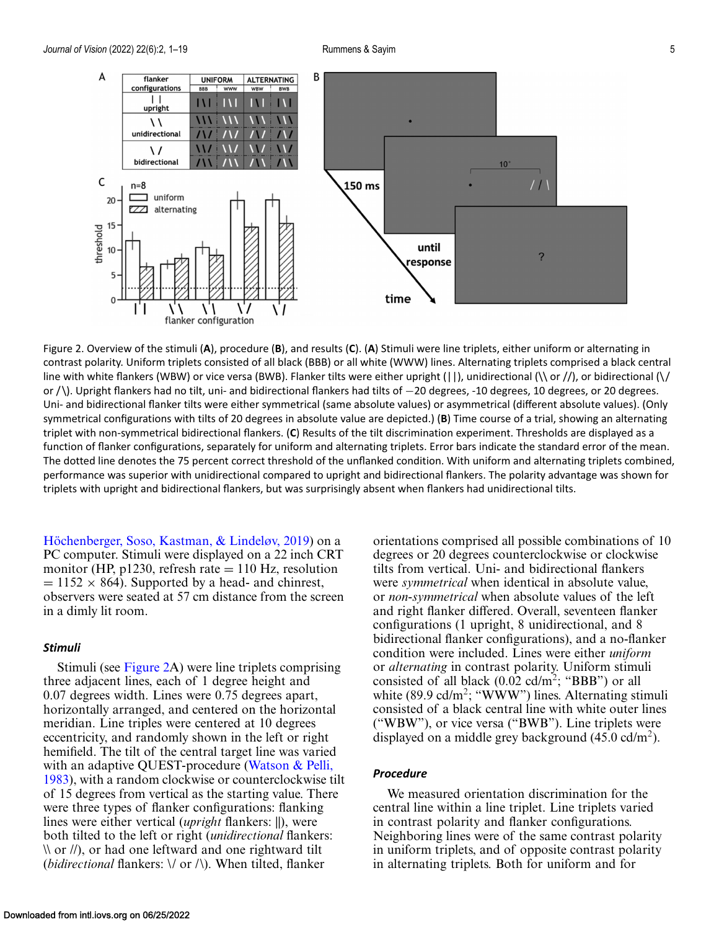<span id="page-4-0"></span>

Figure 2. Overview of the stimuli (**A**), procedure (**B**), and results (**C**). (**A**) Stimuli were line triplets, either uniform or alternating in contrast polarity. Uniform triplets consisted of all black (BBB) or all white (WWW) lines. Alternating triplets comprised a black central line with white flankers (WBW) or vice versa (BWB). Flanker tilts were either upright ( $||$ ), unidirectional ( $\setminus$  or  $/$ ), or bidirectional ( $\setminus$ or / \). Upright flankers had no tilt, uni- and bidirectional flankers had tilts of −20 degrees, -10 degrees, 10 degrees, or 20 degrees. Uni- and bidirectional flanker tilts were either symmetrical (same absolute values) or asymmetrical (different absolute values). (Only symmetrical configurations with tilts of 20 degrees in absolute value are depicted.) (**B**) Time course of a trial, showing an alternating triplet with non-symmetrical bidirectional flankers. (**C**) Results of the tilt discrimination experiment. Thresholds are displayed as a function of flanker configurations, separately for uniform and alternating triplets. Error bars indicate the standard error of the mean. The dotted line denotes the 75 percent correct threshold of the unflanked condition. With uniform and alternating triplets combined, performance was superior with unidirectional compared to upright and bidirectional flankers. The polarity advantage was shown for triplets with upright and bidirectional flankers, but was surprisingly absent when flankers had unidirectional tilts.

[Höchenberger, Soso, Kastman, & Lindeløv, 2019\)](#page-16-0) on a PC computer. Stimuli were displayed on a 22 inch CRT monitor (HP,  $p1230$ , refresh rate  $= 110$  Hz, resolution  $= 1152 \times 864$ ). Supported by a head- and chinrest, observers were seated at 57 cm distance from the screen in a dimly lit room.

#### *Stimuli*

Stimuli (see Figure 2A) were line triplets comprising three adjacent lines, each of 1 degree height and 0.07 degrees width. Lines were 0.75 degrees apart, horizontally arranged, and centered on the horizontal meridian. Line triples were centered at 10 degrees eccentricity, and randomly shown in the left or right hemifield. The tilt of the central target line was varied with an adaptive QUEST-procedure (Watson & Pelli, [1983\), with a random clockwise or counterclockwise ti](#page-17-0)lt of 15 degrees from vertical as the starting value. There were three types of flanker configurations: flanking lines were either vertical (*upright* flankers: ||), were both tilted to the left or right (*unidirectional* flankers:  $\mathcal{N}$  or //), or had one leftward and one rightward tilt (*bidirectional* flankers: \/ or /\). When tilted, flanker

orientations comprised all possible combinations of 10 degrees or 20 degrees counterclockwise or clockwise tilts from vertical. Uni- and bidirectional flankers were *symmetrical* when identical in absolute value, or *non-symmetrical* when absolute values of the left and right flanker differed. Overall, seventeen flanker configurations (1 upright, 8 unidirectional, and 8 bidirectional flanker configurations), and a no-flanker condition were included. Lines were either *uniform* or *alternating* in contrast polarity. Uniform stimuli consisted of all black (0.02 cd/m2; "BBB") or all white  $(89.9 \text{ cd/m}^2;$  "WWW") lines. Alternating stimuli consisted of a black central line with white outer lines ("WBW"), or vice versa ("BWB"). Line triplets were displayed on a middle grey background  $(45.0 \text{ cd/m}^2)$ .

#### *Procedure*

We measured orientation discrimination for the central line within a line triplet. Line triplets varied in contrast polarity and flanker configurations. Neighboring lines were of the same contrast polarity in uniform triplets, and of opposite contrast polarity in alternating triplets. Both for uniform and for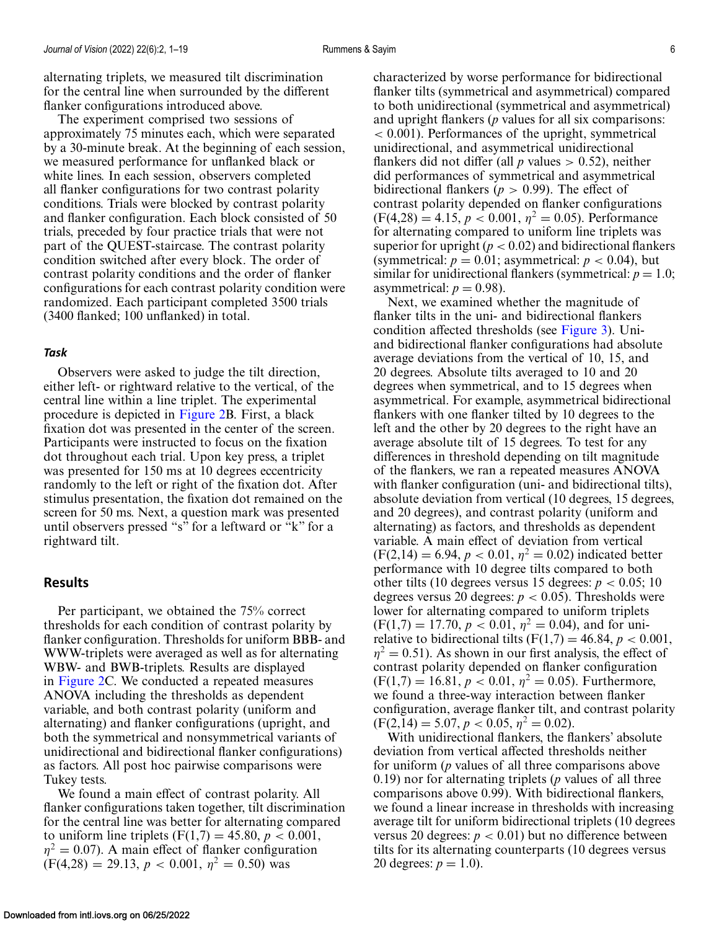alternating triplets, we measured tilt discrimination for the central line when surrounded by the different flanker configurations introduced above.

The experiment comprised two sessions of approximately 75 minutes each, which were separated by a 30-minute break. At the beginning of each session, we measured performance for unflanked black or white lines. In each session, observers completed all flanker configurations for two contrast polarity conditions. Trials were blocked by contrast polarity and flanker configuration. Each block consisted of 50 trials, preceded by four practice trials that were not part of the QUEST-staircase. The contrast polarity condition switched after every block. The order of contrast polarity conditions and the order of flanker configurations for each contrast polarity condition were randomized. Each participant completed 3500 trials (3400 flanked; 100 unflanked) in total.

#### *Task*

Observers were asked to judge the tilt direction, either left- or rightward relative to the vertical, of the central line within a line triplet. The experimental procedure is depicted in [Figure 2B](#page-4-0). First, a black fixation dot was presented in the center of the screen. Participants were instructed to focus on the fixation dot throughout each trial. Upon key press, a triplet was presented for 150 ms at 10 degrees eccentricity randomly to the left or right of the fixation dot. After stimulus presentation, the fixation dot remained on the screen for 50 ms. Next, a question mark was presented until observers pressed "s" for a leftward or "k" for a rightward tilt.

#### **Results**

Per participant, we obtained the 75% correct thresholds for each condition of contrast polarity by flanker configuration. Thresholds for uniform BBB- and WWW-triplets were averaged as well as for alternating WBW- and BWB-triplets. Results are displayed in [Figure 2C](#page-4-0). We conducted a repeated measures ANOVA including the thresholds as dependent variable, and both contrast polarity (uniform and alternating) and flanker configurations (upright, and both the symmetrical and nonsymmetrical variants of unidirectional and bidirectional flanker configurations) as factors. All post hoc pairwise comparisons were Tukey tests.

We found a main effect of contrast polarity. All flanker configurations taken together, tilt discrimination for the central line was better for alternating compared to uniform line triplets  $(F(1,7) = 45.80, p < 0.001,$  $\eta^2 = 0.07$ ). A main effect of flanker configuration  $(F(4,28) = 29.13, p < 0.001, \eta^2 = 0.50)$  was

characterized by worse performance for bidirectional flanker tilts (symmetrical and asymmetrical) compared to both unidirectional (symmetrical and asymmetrical) and upright flankers (*p* values for all six comparisons: < 0.001). Performances of the upright, symmetrical unidirectional, and asymmetrical unidirectional flankers did not differ (all  $p$  values  $> 0.52$ ), neither did performances of symmetrical and asymmetrical bidirectional flankers ( $p > 0.99$ ). The effect of contrast polarity depended on flanker configurations  $(F(4,28) = 4.15, p < 0.001, \eta^2 = 0.05)$ . Performance for alternating compared to uniform line triplets was superior for upright  $(p < 0.02)$  and bidirectional flankers (symmetrical:  $p = 0.01$ ; asymmetrical:  $p < 0.04$ ), but similar for unidirectional flankers (symmetrical:  $p = 1.0$ ; asymmetrical:  $p = 0.98$ ).

Next, we examined whether the magnitude of flanker tilts in the uni- and bidirectional flankers condition affected thresholds (see [Figure 3\)](#page-6-0). Uniand bidirectional flanker configurations had absolute average deviations from the vertical of 10, 15, and 20 degrees. Absolute tilts averaged to 10 and 20 degrees when symmetrical, and to 15 degrees when asymmetrical. For example, asymmetrical bidirectional flankers with one flanker tilted by 10 degrees to the left and the other by 20 degrees to the right have an average absolute tilt of 15 degrees. To test for any differences in threshold depending on tilt magnitude of the flankers, we ran a repeated measures ANOVA with flanker configuration (uni- and bidirectional tilts), absolute deviation from vertical (10 degrees, 15 degrees, and 20 degrees), and contrast polarity (uniform and alternating) as factors, and thresholds as dependent variable. A main effect of deviation from vertical  $(F(2,14) = 6.94, p < 0.01, \eta^2 = 0.02)$  indicated better performance with 10 degree tilts compared to both other tilts (10 degrees versus 15 degrees:  $p < 0.05$ ; 10 degrees versus 20 degrees:  $p < 0.05$ ). Thresholds were lower for alternating compared to uniform triplets  $(F(1,7) = 17.70, p < 0.01, \eta^2 = 0.04)$ , and for unirelative to bidirectional tilts  $(F(1,7) = 46.84, p < 0.001,$  $\eta^2 = 0.51$ ). As shown in our first analysis, the effect of contrast polarity depended on flanker configuration  $(F(1,7) = 16.81, p < 0.01, \eta^2 = 0.05)$ . Furthermore, we found a three-way interaction between flanker configuration, average flanker tilt, and contrast polarity  $(F(2,14) = 5.07, p < 0.05, \eta^2 = 0.02).$ 

With unidirectional flankers, the flankers' absolute deviation from vertical affected thresholds neither for uniform (*p* values of all three comparisons above 0.19) nor for alternating triplets (*p* values of all three comparisons above 0.99). With bidirectional flankers, we found a linear increase in thresholds with increasing average tilt for uniform bidirectional triplets (10 degrees versus 20 degrees:  $p < 0.01$ ) but no difference between tilts for its alternating counterparts (10 degrees versus 20 degrees:  $p = 1.0$ ).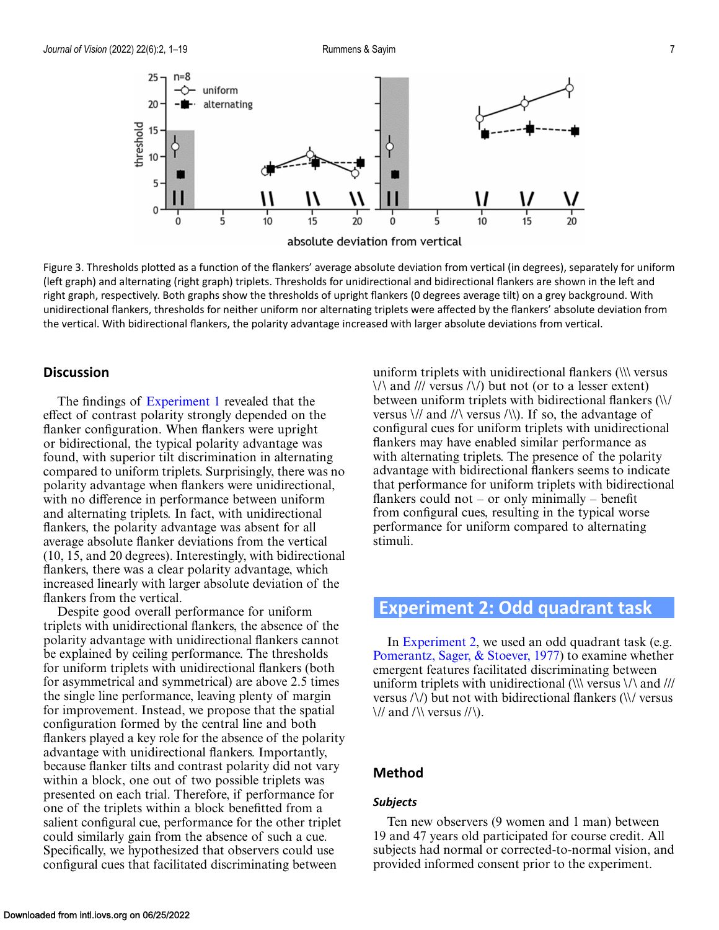<span id="page-6-0"></span>

Figure 3. Thresholds plotted as a function of the flankers' average absolute deviation from vertical (in degrees), separately for uniform (left graph) and alternating (right graph) triplets. Thresholds for unidirectional and bidirectional flankers are shown in the left and right graph, respectively. Both graphs show the thresholds of upright flankers (0 degrees average tilt) on a grey background. With unidirectional flankers, thresholds for neither uniform nor alternating triplets were affected by the flankers' absolute deviation from the vertical. With bidirectional flankers, the polarity advantage increased with larger absolute deviations from vertical.

### **Discussion**

The findings of [Experiment 1](#page-3-0) revealed that the effect of contrast polarity strongly depended on the flanker configuration. When flankers were upright or bidirectional, the typical polarity advantage was found, with superior tilt discrimination in alternating compared to uniform triplets. Surprisingly, there was no polarity advantage when flankers were unidirectional, with no difference in performance between uniform and alternating triplets. In fact, with unidirectional flankers, the polarity advantage was absent for all average absolute flanker deviations from the vertical (10, 15, and 20 degrees). Interestingly, with bidirectional flankers, there was a clear polarity advantage, which increased linearly with larger absolute deviation of the flankers from the vertical.

Despite good overall performance for uniform triplets with unidirectional flankers, the absence of the polarity advantage with unidirectional flankers cannot be explained by ceiling performance. The thresholds for uniform triplets with unidirectional flankers (both for asymmetrical and symmetrical) are above 2.5 times the single line performance, leaving plenty of margin for improvement. Instead, we propose that the spatial configuration formed by the central line and both flankers played a key role for the absence of the polarity advantage with unidirectional flankers. Importantly, because flanker tilts and contrast polarity did not vary within a block, one out of two possible triplets was presented on each trial. Therefore, if performance for one of the triplets within a block benefitted from a salient configural cue, performance for the other triplet could similarly gain from the absence of such a cue. Specifically, we hypothesized that observers could use configural cues that facilitated discriminating between

uniform triplets with unidirectional flankers (\\\ versus  $\langle \rangle$  and /// versus  $\langle \rangle$  but not (or to a lesser extent) between uniform triplets with bidirectional flankers (\\/ versus  $\frac{1}{4}$  and  $\frac{1}{\sqrt{2}}$  versus  $\frac{1}{\sqrt{2}}$ . If so, the advantage of configural cues for uniform triplets with unidirectional flankers may have enabled similar performance as with alternating triplets. The presence of the polarity advantage with bidirectional flankers seems to indicate that performance for uniform triplets with bidirectional flankers could not – or only minimally – benefit from configural cues, resulting in the typical worse performance for uniform compared to alternating stimuli.

# **Experiment 2: Odd quadrant task**

In Experiment 2, we used an odd quadrant task (e.g. [Pomerantz, Sager, & Stoever, 1977\)](#page-17-0) to examine whether emergent features facilitated discriminating between uniform triplets with unidirectional ( $\|\$  versus  $\|\$  and  $\|\|$ versus /\/) but not with bidirectional flankers (\\/ versus  $\frac{1}{2}$  and  $\frac{1}{\sqrt{2}}$  versus  $\frac{1}{\sqrt{2}}$ .

### **Method**

#### *Subjects*

Ten new observers (9 women and 1 man) between 19 and 47 years old participated for course credit. All subjects had normal or corrected-to-normal vision, and provided informed consent prior to the experiment.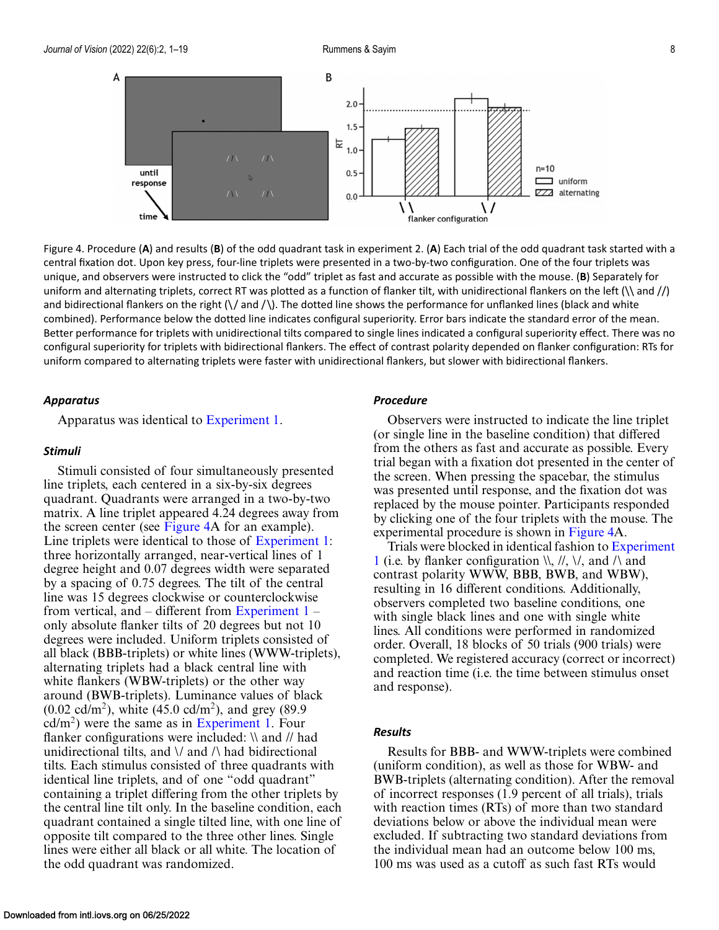

Figure 4. Procedure (**A**) and results (**B**) of the odd quadrant task in experiment 2. (**A**) Each trial of the odd quadrant task started with a central fixation dot. Upon key press, four-line triplets were presented in a two-by-two configuration. One of the four triplets was unique, and observers were instructed to click the "odd" triplet as fast and accurate as possible with the mouse. (**B**) Separately for uniform and alternating triplets, correct RT was plotted as a function of flanker tilt, with unidirectional flankers on the left  $(\n\alpha)$  and  $\beta$ and bidirectional flankers on the right  $(\sqrt{$  and  $/\})$ . The dotted line shows the performance for unflanked lines (black and white combined). Performance below the dotted line indicates configural superiority. Error bars indicate the standard error of the mean. Better performance for triplets with unidirectional tilts compared to single lines indicated a configural superiority effect. There was no configural superiority for triplets with bidirectional flankers. The effect of contrast polarity depended on flanker configuration: RTs for uniform compared to alternating triplets were faster with unidirectional flankers, but slower with bidirectional flankers.

#### *Apparatus*

Apparatus was identical to [Experiment 1.](#page-3-0)

#### *Stimuli*

Stimuli consisted of four simultaneously presented line triplets, each centered in a six-by-six degrees quadrant. Quadrants were arranged in a two-by-two matrix. A line triplet appeared 4.24 degrees away from the screen center (see Figure 4A for an example). Line triplets were identical to those of [Experiment 1:](#page-3-0) three horizontally arranged, near-vertical lines of 1 degree height and 0.07 degrees width were separated by a spacing of 0.75 degrees. The tilt of the central line was 15 degrees clockwise or counterclockwise from vertical, and – different from Experiment  $1$ only absolute flanker tilts of 20 degrees but not 10 degrees were included. Uniform triplets consisted of all black (BBB-triplets) or white lines (WWW-triplets), alternating triplets had a black central line with white flankers (WBW-triplets) or the other way around (BWB-triplets). Luminance values of black  $(0.02 \text{ cd/m}^2)$ , white  $(45.0 \text{ cd/m}^2)$ , and grey  $(89.9$  $cd/m<sup>2</sup>$ ) were the same as in [Experiment 1.](#page-3-0) Four flanker configurations were included: \\ and // had unidirectional tilts, and  $\lor$  and  $\land$  had bidirectional tilts. Each stimulus consisted of three quadrants with identical line triplets, and of one "odd quadrant" containing a triplet differing from the other triplets by the central line tilt only. In the baseline condition, each quadrant contained a single tilted line, with one line of opposite tilt compared to the three other lines. Single lines were either all black or all white. The location of the odd quadrant was randomized.

### *Procedure*

Observers were instructed to indicate the line triplet (or single line in the baseline condition) that differed from the others as fast and accurate as possible. Every trial began with a fixation dot presented in the center of the screen. When pressing the spacebar, the stimulus was presented until response, and the fixation dot was replaced by the mouse pointer. Participants responded by clicking one of the four triplets with the mouse. The experimental procedure is shown in Figure 4A.

Trials were blocked in identical fashion to Experiment 1 (i.e. by flanker configuration  $\mathcal{N}, \mathcal{N}, \mathcal{N}$  and  $\mathcal{N}$  and contrast polarity WWW, BBB, BWB, and WBW), resulting in 16 different conditions. Additionally, observers completed two baseline conditions, one with single black lines and one with single white lines. All conditions were performed in randomized order. Overall, 18 blocks of 50 trials (900 trials) were completed. We registered accuracy (correct or incorrect) and reaction time (i.e. the time between stimulus onset and response).

#### *Results*

Results for BBB- and WWW-triplets were combined (uniform condition), as well as those for WBW- and BWB-triplets (alternating condition). After the removal of incorrect responses (1.9 percent of all trials), trials with reaction times (RTs) of more than two standard deviations below or above the individual mean were excluded. If subtracting two standard deviations from the individual mean had an outcome below 100 ms, 100 ms was used as a cutoff as such fast RTs would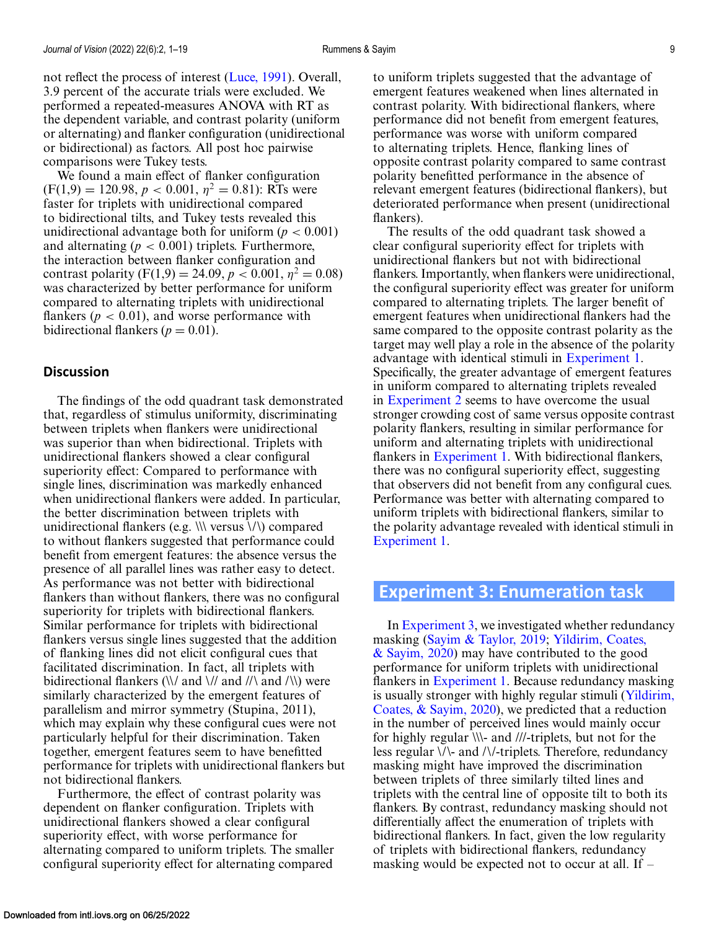<span id="page-8-0"></span>comparisons were Tukey tests. We found a main effect of flanker configuration  $(F(1,9) = 120.98, p < 0.001, \eta^2 = 0.81)$ : RTs were faster for triplets with unidirectional compared to bidirectional tilts, and Tukey tests revealed this unidirectional advantage both for uniform  $(p < 0.001)$ and alternating  $(p < 0.001)$  triplets. Furthermore, the interaction between flanker configuration and contrast polarity  $(F(1,9) = 24.09, p < 0.001, \eta^2 = 0.08)$ was characterized by better performance for uniform compared to alternating triplets with unidirectional flankers ( $p < 0.01$ ), and worse performance with bidirectional flankers ( $p = 0.01$ ).

### **Discussion**

The findings of the odd quadrant task demonstrated that, regardless of stimulus uniformity, discriminating between triplets when flankers were unidirectional was superior than when bidirectional. Triplets with unidirectional flankers showed a clear configural superiority effect: Compared to performance with single lines, discrimination was markedly enhanced when unidirectional flankers were added. In particular, the better discrimination between triplets with unidirectional flankers (e.g.  $\|\cdot\|$  versus  $\langle\cdot\rangle$ ) compared to without flankers suggested that performance could benefit from emergent features: the absence versus the presence of all parallel lines was rather easy to detect. As performance was not better with bidirectional flankers than without flankers, there was no configural superiority for triplets with bidirectional flankers. Similar performance for triplets with bidirectional flankers versus single lines suggested that the addition of flanking lines did not elicit configural cues that facilitated discrimination. In fact, all triplets with bidirectional flankers  $(\nabla / \nabla)$  and  $(\nabla / \nabla)$  were similarly characterized by the emergent features of parallelism and mirror symmetry (Stupina, 2011), which may explain why these configural cues were not particularly helpful for their discrimination. Taken together, emergent features seem to have benefitted performance for triplets with unidirectional flankers but not bidirectional flankers.

Furthermore, the effect of contrast polarity was dependent on flanker configuration. Triplets with unidirectional flankers showed a clear configural superiority effect, with worse performance for alternating compared to uniform triplets. The smaller configural superiority effect for alternating compared to uniform triplets suggested that the advantage of emergent features weakened when lines alternated in contrast polarity. With bidirectional flankers, where performance did not benefit from emergent features, performance was worse with uniform compared to alternating triplets. Hence, flanking lines of opposite contrast polarity compared to same contrast polarity benefitted performance in the absence of relevant emergent features (bidirectional flankers), but deteriorated performance when present (unidirectional flankers).

The results of the odd quadrant task showed a clear configural superiority effect for triplets with unidirectional flankers but not with bidirectional flankers. Importantly, when flankers were unidirectional, the configural superiority effect was greater for uniform compared to alternating triplets. The larger benefit of emergent features when unidirectional flankers had the same compared to the opposite contrast polarity as the target may well play a role in the absence of the polarity advantage with identical stimuli in [Experiment 1.](#page-3-0) Specifically, the greater advantage of emergent features in uniform compared to alternating triplets revealed in [Experiment 2](#page-6-0) seems to have overcome the usual stronger crowding cost of same versus opposite contrast polarity flankers, resulting in similar performance for uniform and alternating triplets with unidirectional flankers in [Experiment 1.](#page-3-0) With bidirectional flankers, there was no configural superiority effect, suggesting that observers did not benefit from any configural cues. Performance was better with alternating compared to uniform triplets with bidirectional flankers, similar to the polarity advantage revealed with identical stimuli in [Experiment 1.](#page-3-0)

## **Experiment 3: Enumeration task**

In Experiment 3, we investigated whether redundancy masking [\(Sayim & Taylor, 2019;](#page-17-0) Yildirim, Coates,  $\&$  Sayim, 2020) may have contributed to the good performance for uniform triplets with unidirectional flankers in [Experiment 1.](#page-3-0) Because redundancy masking [is usually stronger with highly regular stimuli \(Yildirim,](#page-18-0) Coates, & Sayim, 2020), we predicted that a reduction in the number of perceived lines would mainly occur for highly regular \\\- and ///-triplets, but not for the less regular \/\- and /\/-triplets. Therefore, redundancy masking might have improved the discrimination between triplets of three similarly tilted lines and triplets with the central line of opposite tilt to both its flankers. By contrast, redundancy masking should not differentially affect the enumeration of triplets with bidirectional flankers. In fact, given the low regularity of triplets with bidirectional flankers, redundancy masking would be expected not to occur at all. If –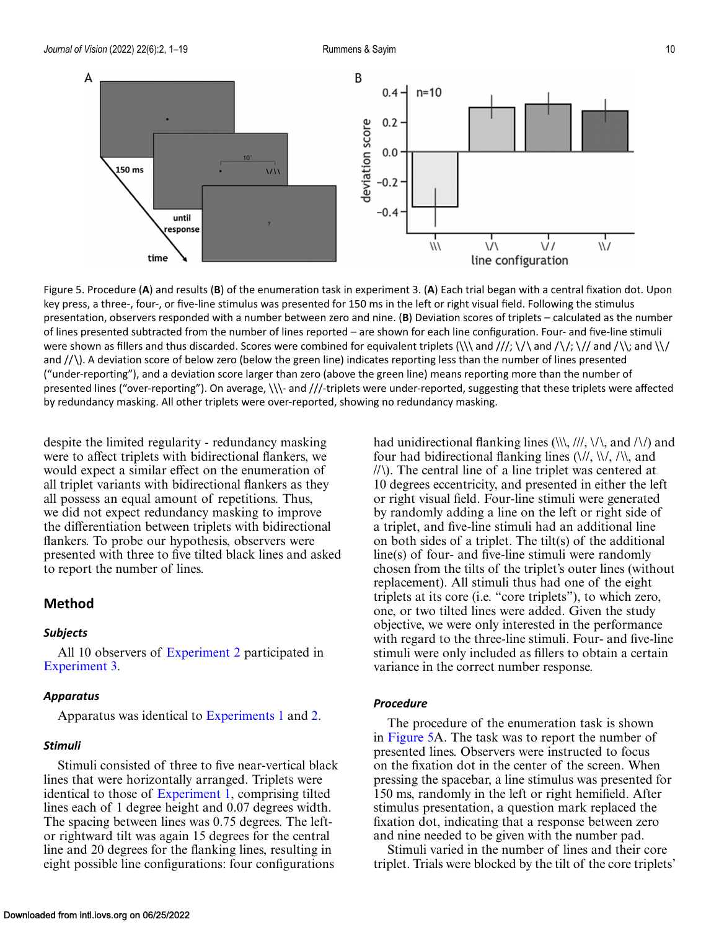<span id="page-9-0"></span>

Figure 5. Procedure (**A**) and results (**B**) of the enumeration task in experiment 3. (**A**) Each trial began with a central fixation dot. Upon key press, a three-, four-, or five-line stimulus was presented for 150 ms in the left or right visual field. Following the stimulus presentation, observers responded with a number between zero and nine. (**B**) Deviation scores of triplets – calculated as the number of lines presented subtracted from the number of lines reported – are shown for each line configuration. Four- and five-line stimuli were shown as fillers and thus discarded. Scores were combined for equivalent triplets (\\\ and ///; \/\ and /\/; \// and /\\; and \\/ and  $/$   $\setminus$   $\setminus$  A deviation score of below zero (below the green line) indicates reporting less than the number of lines presented ("under-reporting"), and a deviation score larger than zero (above the green line) means reporting more than the number of presented lines ("over-reporting"). On average, \\\- and ///-triplets were under-reported, suggesting that these triplets were affected by redundancy masking. All other triplets were over-reported, showing no redundancy masking.

despite the limited regularity - redundancy masking were to affect triplets with bidirectional flankers, we would expect a similar effect on the enumeration of all triplet variants with bidirectional flankers as they all possess an equal amount of repetitions. Thus, we did not expect redundancy masking to improve the differentiation between triplets with bidirectional flankers. To probe our hypothesis, observers were presented with three to five tilted black lines and asked to report the number of lines.

### **Method**

### *Subjects*

All 10 observers of [Experiment 2](#page-6-0) participated in [Experiment 3.](#page-8-0)

#### *Apparatus*

Apparatus was identical to [Experiments 1](#page-3-0) and [2.](#page-6-0)

#### *Stimuli*

Stimuli consisted of three to five near-vertical black lines that were horizontally arranged. Triplets were identical to those of [Experiment 1,](#page-3-0) comprising tilted lines each of 1 degree height and 0.07 degrees width. The spacing between lines was 0.75 degrees. The leftor rightward tilt was again 15 degrees for the central line and 20 degrees for the flanking lines, resulting in eight possible line configurations: four configurations

four had bidirectional flanking lines  $(\frac{\sqrt{2}}{\sqrt{2}})$ ,  $(\frac{\sqrt{2}}{\sqrt{2}})$ , and //\). The central line of a line triplet was centered at 10 degrees eccentricity, and presented in either the left or right visual field. Four-line stimuli were generated by randomly adding a line on the left or right side of a triplet, and five-line stimuli had an additional line on both sides of a triplet. The tilt(s) of the additional line(s) of four- and five-line stimuli were randomly chosen from the tilts of the triplet's outer lines (without replacement). All stimuli thus had one of the eight triplets at its core (i.e. "core triplets"), to which zero, one, or two tilted lines were added. Given the study objective, we were only interested in the performance with regard to the three-line stimuli. Four- and five-line stimuli were only included as fillers to obtain a certain variance in the correct number response.

had unidirectional flanking lines  $(\langle \langle \rangle, \langle \rangle / \rangle, \langle \langle \rangle)$  and  $(\langle \rangle)$  and

### *Procedure*

The procedure of the enumeration task is shown in Figure 5A. The task was to report the number of presented lines. Observers were instructed to focus on the fixation dot in the center of the screen. When pressing the spacebar, a line stimulus was presented for 150 ms, randomly in the left or right hemifield. After stimulus presentation, a question mark replaced the fixation dot, indicating that a response between zero and nine needed to be given with the number pad.

Stimuli varied in the number of lines and their core triplet. Trials were blocked by the tilt of the core triplets'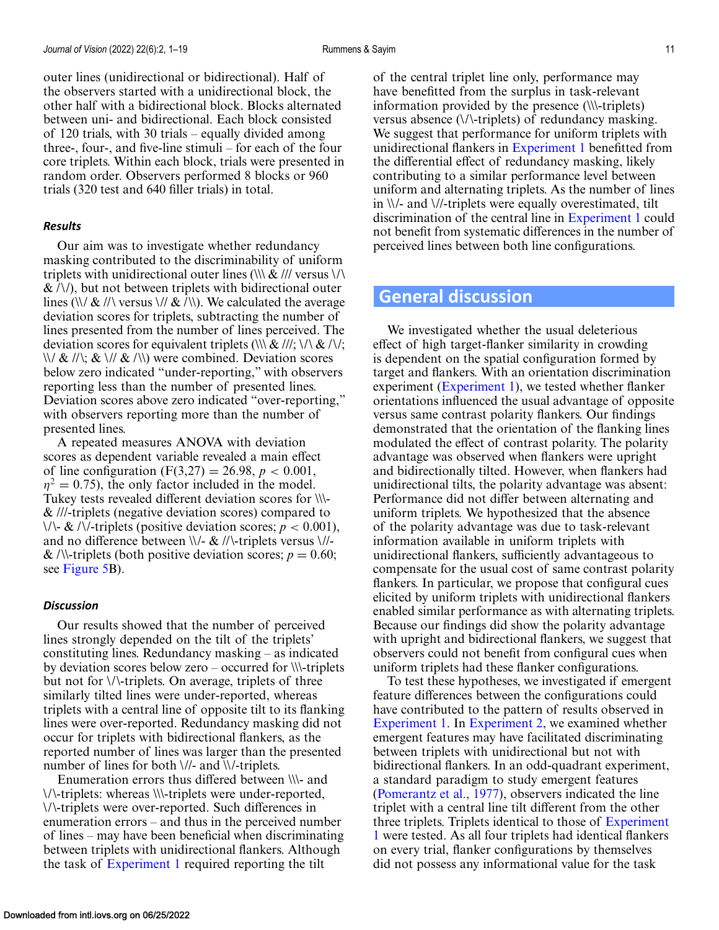outer lines (unidirectional or bidirectional). Half of the observers started with a unidirectional block, the other half with a bidirectional block. Blocks alternated between uni- and bidirectional. Each block consisted of 120 trials, with 30 trials – equally divided among three-, four-, and five-line stimuli – for each of the four core triplets. Within each block, trials were presented in random order. Observers performed 8 blocks or 960 trials (320 test and 640 filler trials) in total.

#### *Results*

Our aim was to investigate whether redundancy masking contributed to the discriminability of uniform triplets with unidirectional outer lines  $(\|\&\|$  versus  $\|\wedge\|$  $\&$  /\/), but not between triplets with bidirectional outer lines (\\/  $\&$  //\ versus \//  $\&$  /\\). We calculated the average deviation scores for triplets, subtracting the number of lines presented from the number of lines perceived. The deviation scores for equivalent triplets (\\\ & ///; \/\ & /\/;  $\langle \langle \rangle / \& \langle \rangle / \& \langle \rangle / \& \langle \rangle$  were combined. Deviation scores below zero indicated "under-reporting," with observers reporting less than the number of presented lines. Deviation scores above zero indicated "over-reporting," with observers reporting more than the number of presented lines.

A repeated measures ANOVA with deviation scores as dependent variable revealed a main effect of line configuration  $(F(3,27) = 26.98, p < 0.001,$  $\eta^2 = 0.75$ , the only factor included in the model. Tukey tests revealed different deviation scores for \\\- & ///-triplets (negative deviation scores) compared to  $\setminus \setminus$  & / $\setminus$ -triplets (positive deviation scores; *p* < 0.001), and no difference between  $\\$  - \& \//-triplets versus  $\//$ -& /\\-triplets (both positive deviation scores;  $p = 0.60$ ; see [Figure 5B](#page-9-0)).

#### *Discussion*

Our results showed that the number of perceived lines strongly depended on the tilt of the triplets' constituting lines. Redundancy masking – as indicated by deviation scores below zero – occurred for \\\-triplets but not for \/\-triplets. On average, triplets of three similarly tilted lines were under-reported, whereas triplets with a central line of opposite tilt to its flanking lines were over-reported. Redundancy masking did not occur for triplets with bidirectional flankers, as the reported number of lines was larger than the presented number of lines for both \//- and \\/-triplets.

Enumeration errors thus differed between \\\- and \/\-triplets: whereas \\\-triplets were under-reported, \/\-triplets were over-reported. Such differences in enumeration errors – and thus in the perceived number of lines – may have been beneficial when discriminating between triplets with unidirectional flankers. Although the task of [Experiment 1](#page-3-0) required reporting the tilt

of the central triplet line only, performance may have benefitted from the surplus in task-relevant information provided by the presence (\\\-triplets) versus absence (\/\-triplets) of redundancy masking. We suggest that performance for uniform triplets with unidirectional flankers in [Experiment 1](#page-3-0) benefitted from the differential effect of redundancy masking, likely contributing to a similar performance level between uniform and alternating triplets. As the number of lines in \\/- and \//-triplets were equally overestimated, tilt discrimination of the central line in [Experiment 1](#page-3-0) could not benefit from systematic differences in the number of perceived lines between both line configurations.

### **General discussion**

We investigated whether the usual deleterious effect of high target-flanker similarity in crowding is dependent on the spatial configuration formed by target and flankers. With an orientation discrimination experiment [\(Experiment 1\)](#page-3-0), we tested whether flanker orientations influenced the usual advantage of opposite versus same contrast polarity flankers. Our findings demonstrated that the orientation of the flanking lines modulated the effect of contrast polarity. The polarity advantage was observed when flankers were upright and bidirectionally tilted. However, when flankers had unidirectional tilts, the polarity advantage was absent: Performance did not differ between alternating and uniform triplets. We hypothesized that the absence of the polarity advantage was due to task-relevant information available in uniform triplets with unidirectional flankers, sufficiently advantageous to compensate for the usual cost of same contrast polarity flankers. In particular, we propose that configural cues elicited by uniform triplets with unidirectional flankers enabled similar performance as with alternating triplets. Because our findings did show the polarity advantage with upright and bidirectional flankers, we suggest that observers could not benefit from configural cues when uniform triplets had these flanker configurations.

To test these hypotheses, we investigated if emergent feature differences between the configurations could have contributed to the pattern of results observed in [Experiment 1.](#page-3-0) In [Experiment 2,](#page-6-0) we examined whether emergent features may have facilitated discriminating between triplets with unidirectional but not with bidirectional flankers. In an odd-quadrant experiment, a standard paradigm to study emergent features [\(Pomerantz et al., 1977\)](#page-17-0), observers indicated the line triplet with a central line tilt different from the other three triplets. Triplets identical to those of Experiment 1 [were tested. As all four triplets had identical flankers](#page-3-0) on every trial, flanker configurations by themselves did not possess any informational value for the task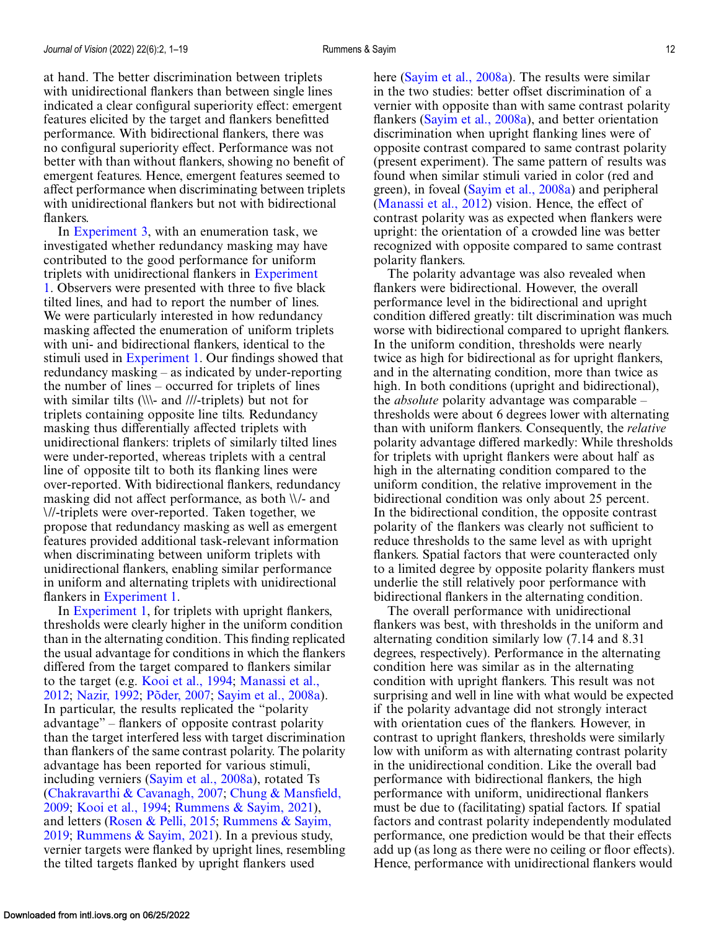at hand. The better discrimination between triplets with unidirectional flankers than between single lines indicated a clear configural superiority effect: emergent features elicited by the target and flankers benefitted performance. With bidirectional flankers, there was no configural superiority effect. Performance was not better with than without flankers, showing no benefit of emergent features. Hence, emergent features seemed to affect performance when discriminating between triplets with unidirectional flankers but not with bidirectional flankers.

In [Experiment 3,](#page-8-0) with an enumeration task, we investigated whether redundancy masking may have contributed to the good performance for uniform triplets with unidirectional flankers in Experiment [1. Observers were presented with three to five black](#page-3-0) tilted lines, and had to report the number of lines. We were particularly interested in how redundancy masking affected the enumeration of uniform triplets with uni- and bidirectional flankers, identical to the stimuli used in [Experiment 1.](#page-3-0) Our findings showed that redundancy masking – as indicated by under-reporting the number of lines – occurred for triplets of lines with similar tilts (\\\- and ///-triplets) but not for triplets containing opposite line tilts. Redundancy masking thus differentially affected triplets with unidirectional flankers: triplets of similarly tilted lines were under-reported, whereas triplets with a central line of opposite tilt to both its flanking lines were over-reported. With bidirectional flankers, redundancy masking did not affect performance, as both \\/- and \//-triplets were over-reported. Taken together, we propose that redundancy masking as well as emergent features provided additional task-relevant information when discriminating between uniform triplets with unidirectional flankers, enabling similar performance in uniform and alternating triplets with unidirectional flankers in [Experiment 1.](#page-3-0)

In [Experiment 1,](#page-3-0) for triplets with upright flankers, thresholds were clearly higher in the uniform condition than in the alternating condition. This finding replicated the usual advantage for conditions in which the flankers differed from the target compared to flankers similar to the target (e.g. [Kooi et al., 1994;](#page-16-0) Manassi et al., 2012; [Nazir, 1992;](#page-16-0) [Põder, 2007;](#page-16-0) [Sayim et al., 2008a\)](#page-16-0). In particular, the results replicated the "polarity advantage" – flankers of opposite contrast polarity than the target interfered less with target discrimination than flankers of the same contrast polarity. The polarity advantage has been reported for various stimuli, including verniers [\(Sayim et al., 2008a\)](#page-17-0), rotated Ts [\(Chakravarthi & Cavanagh, 2007;](#page-15-0) Chung & Mansfield, 2009; [Kooi et al., 1994;](#page-16-0) [Rummens & Sayim, 2021\)](#page-17-0), and letters [\(Rosen & Pelli, 2015;](#page-17-0) Rummens & Sayim, 2019; [Rummens & Sayim, 2021\). In a previous study,](#page-17-0) vernier targets were flanked by upright lines, resembling the tilted targets flanked by upright flankers used

here [\(Sayim et al., 2008a\)](#page-17-0). The results were similar in the two studies: better offset discrimination of a vernier with opposite than with same contrast polarity flankers [\(Sayim et al., 2008a\)](#page-17-0), and better orientation discrimination when upright flanking lines were of opposite contrast compared to same contrast polarity (present experiment). The same pattern of results was found when similar stimuli varied in color (red and green), in foveal [\(Sayim et al., 2008a\)](#page-17-0) and peripheral [\(Manassi et al., 2012\)](#page-16-0) vision. Hence, the effect of contrast polarity was as expected when flankers were upright: the orientation of a crowded line was better recognized with opposite compared to same contrast polarity flankers.

The polarity advantage was also revealed when flankers were bidirectional. However, the overall performance level in the bidirectional and upright condition differed greatly: tilt discrimination was much worse with bidirectional compared to upright flankers. In the uniform condition, thresholds were nearly twice as high for bidirectional as for upright flankers, and in the alternating condition, more than twice as high. In both conditions (upright and bidirectional), the *absolute* polarity advantage was comparable – thresholds were about 6 degrees lower with alternating than with uniform flankers. Consequently, the *relative* polarity advantage differed markedly: While thresholds for triplets with upright flankers were about half as high in the alternating condition compared to the uniform condition, the relative improvement in the bidirectional condition was only about 25 percent. In the bidirectional condition, the opposite contrast polarity of the flankers was clearly not sufficient to reduce thresholds to the same level as with upright flankers. Spatial factors that were counteracted only to a limited degree by opposite polarity flankers must underlie the still relatively poor performance with bidirectional flankers in the alternating condition.

The overall performance with unidirectional flankers was best, with thresholds in the uniform and alternating condition similarly low (7.14 and 8.31 degrees, respectively). Performance in the alternating condition here was similar as in the alternating condition with upright flankers. This result was not surprising and well in line with what would be expected if the polarity advantage did not strongly interact with orientation cues of the flankers. However, in contrast to upright flankers, thresholds were similarly low with uniform as with alternating contrast polarity in the unidirectional condition. Like the overall bad performance with bidirectional flankers, the high performance with uniform, unidirectional flankers must be due to (facilitating) spatial factors. If spatial factors and contrast polarity independently modulated performance, one prediction would be that their effects add up (as long as there were no ceiling or floor effects). Hence, performance with unidirectional flankers would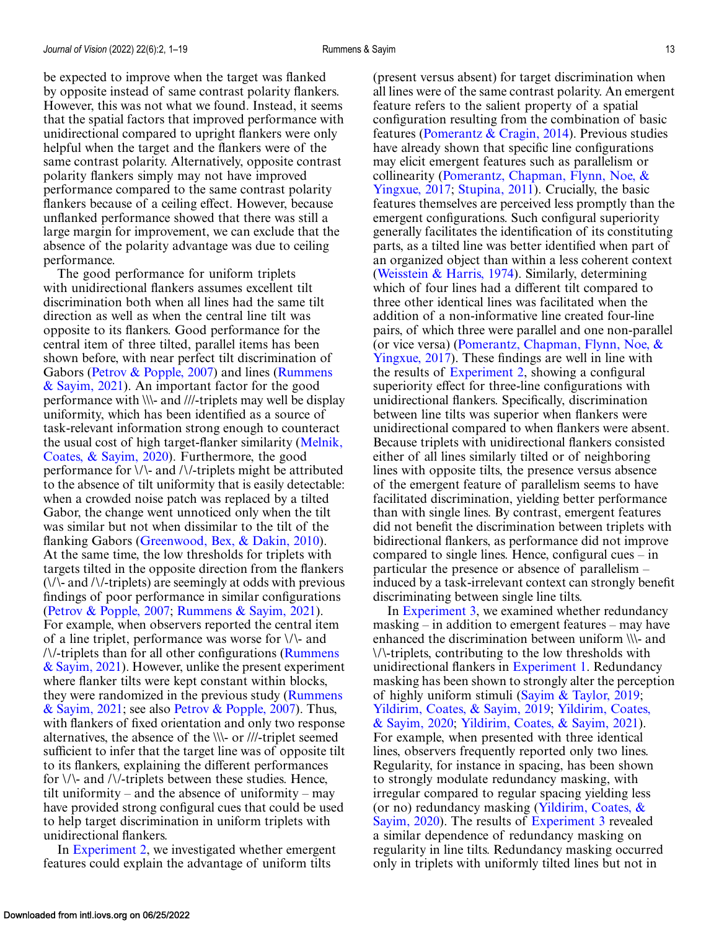be expected to improve when the target was flanked by opposite instead of same contrast polarity flankers. However, this was not what we found. Instead, it seems that the spatial factors that improved performance with unidirectional compared to upright flankers were only helpful when the target and the flankers were of the same contrast polarity. Alternatively, opposite contrast polarity flankers simply may not have improved performance compared to the same contrast polarity flankers because of a ceiling effect. However, because unflanked performance showed that there was still a large margin for improvement, we can exclude that the absence of the polarity advantage was due to ceiling performance.

The good performance for uniform triplets with unidirectional flankers assumes excellent tilt discrimination both when all lines had the same tilt direction as well as when the central line tilt was opposite to its flankers. Good performance for the central item of three tilted, parallel items has been shown before, with near perfect tilt discrimination of [Gabors \(](#page-17-0)[Petrov & Popple, 2007](#page-16-0)[\) and lines \(Rummens](#page-17-0) & Sayim, 2021). An important factor for the good performance with \\\- and ///-triplets may well be display uniformity, which has been identified as a source of task-relevant information strong enough to counteract [the usual cost of high target-flanker similarity \(Melnik,](#page-16-0) Coates, & Sayim, 2020). Furthermore, the good performance for \/\- and /\/-triplets might be attributed to the absence of tilt uniformity that is easily detectable: when a crowded noise patch was replaced by a tilted Gabor, the change went unnoticed only when the tilt was similar but not when dissimilar to the tilt of the flanking Gabors [\(Greenwood, Bex, & Dakin, 2010\)](#page-15-0). At the same time, the low thresholds for triplets with targets tilted in the opposite direction from the flankers  $(\sqrt{\sqrt{2}})$  and  $(\sqrt{\sqrt{2}})$ -triplets) are seemingly at odds with previous findings of poor performance in similar configurations [\(Petrov & Popple, 2007;](#page-16-0) [Rummens & Sayim, 2021\)](#page-17-0). For example, when observers reported the central item of a line triplet, performance was worse for \/\- and  $\frac{N}{t}$ -triplets than for all other configurations (Rummens) [& Sayim, 2021\). However, unlike the present experiment](#page-17-0) where flanker tilts were kept constant within blocks, [they were randomized in the previous study \(Rummens](#page-17-0) & Sayim, 2021; see also [Petrov & Popple, 2007\)](#page-16-0). Thus, with flankers of fixed orientation and only two response alternatives, the absence of the \\\- or ///-triplet seemed sufficient to infer that the target line was of opposite tilt to its flankers, explaining the different performances for  $\setminus \setminus$  and  $\setminus \setminus$ -triplets between these studies. Hence, tilt uniformity – and the absence of uniformity – may have provided strong configural cues that could be used to help target discrimination in uniform triplets with unidirectional flankers.

In [Experiment 2,](#page-6-0) we investigated whether emergent features could explain the advantage of uniform tilts

(present versus absent) for target discrimination when all lines were of the same contrast polarity. An emergent feature refers to the salient property of a spatial configuration resulting from the combination of basic features [\(Pomerantz & Cragin, 2014\)](#page-17-0). Previous studies have already shown that specific line configurations may elicit emergent features such as parallelism or [collinearity \(Pomerantz, Chapman, Flynn, Noe, &](#page-17-0) Yingxue, 2017; [Stupina, 2011\)](#page-17-0). Crucially, the basic features themselves are perceived less promptly than the emergent configurations. Such configural superiority generally facilitates the identification of its constituting parts, as a tilted line was better identified when part of an organized object than within a less coherent context [\(Weisstein & Harris, 1974\)](#page-17-0). Similarly, determining which of four lines had a different tilt compared to three other identical lines was facilitated when the addition of a non-informative line created four-line pairs, of which three were parallel and one non-parallel [\(or vice versa\) \(Pomerantz, Chapman, Flynn, Noe, &](#page-17-0) Yingxue, 2017). These findings are well in line with the results of [Experiment 2,](#page-6-0) showing a configural superiority effect for three-line configurations with unidirectional flankers. Specifically, discrimination between line tilts was superior when flankers were unidirectional compared to when flankers were absent. Because triplets with unidirectional flankers consisted either of all lines similarly tilted or of neighboring lines with opposite tilts, the presence versus absence of the emergent feature of parallelism seems to have facilitated discrimination, yielding better performance than with single lines. By contrast, emergent features did not benefit the discrimination between triplets with bidirectional flankers, as performance did not improve compared to single lines. Hence, configural cues – in particular the presence or absence of parallelism – induced by a task-irrelevant context can strongly benefit discriminating between single line tilts.

In [Experiment 3,](#page-8-0) we examined whether redundancy masking – in addition to emergent features – may have enhanced the discrimination between uniform \\\- and \/\-triplets, contributing to the low thresholds with unidirectional flankers in [Experiment 1.](#page-3-0) Redundancy masking has been shown to strongly alter the perception of highly uniform stimuli [\(Sayim & Taylor, 2019;](#page-17-0) [Yildirim, Coates, & Sayim, 2019;](#page-18-0) Yildirim, Coates, & Sayim, 2020; [Yildirim, Coates, & Sayim, 2021\).](#page-18-0) For example, when presented with three identical lines, observers frequently reported only two lines. Regularity, for instance in spacing, has been shown to strongly modulate redundancy masking, with irregular compared to regular spacing yielding less [\(or no\) redundancy masking \(Yildirim, Coates, &](#page-18-0) Sayim, 2020). The results of [Experiment 3](#page-8-0) revealed a similar dependence of redundancy masking on regularity in line tilts. Redundancy masking occurred only in triplets with uniformly tilted lines but not in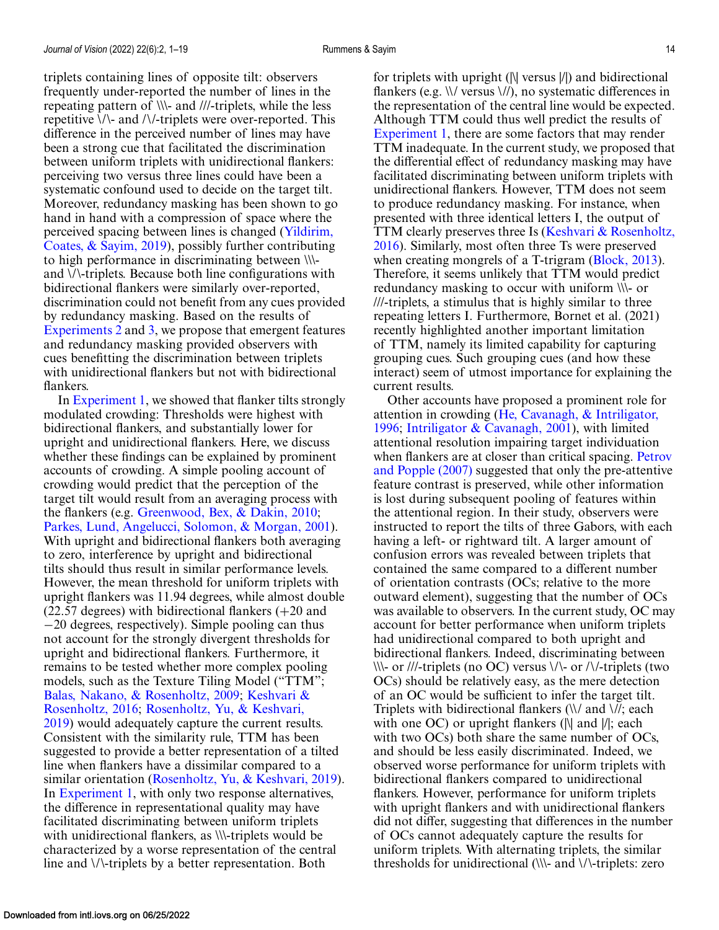triplets containing lines of opposite tilt: observers frequently under-reported the number of lines in the repeating pattern of \\\- and ///-triplets, while the less repetitive  $\setminus \setminus$  and  $\setminus \setminus$ -triplets were over-reported. This difference in the perceived number of lines may have been a strong cue that facilitated the discrimination between uniform triplets with unidirectional flankers: perceiving two versus three lines could have been a systematic confound used to decide on the target tilt. Moreover, redundancy masking has been shown to go hand in hand with a compression of space where the perceived spacing between lines is changed (Yildirim, [Coates, & Sayim, 2019\), possibly further contributing](#page-18-0) to high performance in discriminating between \\\ and \/\-triplets. Because both line configurations with bidirectional flankers were similarly over-reported, discrimination could not benefit from any cues provided by redundancy masking. Based on the results of [Experiments 2](#page-6-0) and [3,](#page-8-0) we propose that emergent features and redundancy masking provided observers with cues benefitting the discrimination between triplets with unidirectional flankers but not with bidirectional flankers.

In [Experiment 1,](#page-3-0) we showed that flanker tilts strongly modulated crowding: Thresholds were highest with bidirectional flankers, and substantially lower for upright and unidirectional flankers. Here, we discuss whether these findings can be explained by prominent accounts of crowding. A simple pooling account of crowding would predict that the perception of the target tilt would result from an averaging process with the flankers (e.g. [Greenwood, Bex, & Dakin, 2010;](#page-15-0) [Parkes, Lund, Angelucci, Solomon, & Morgan, 2001\)](#page-16-0). With upright and bidirectional flankers both averaging to zero, interference by upright and bidirectional tilts should thus result in similar performance levels. However, the mean threshold for uniform triplets with upright flankers was 11.94 degrees, while almost double (22.57 degrees) with bidirectional flankers (+20 and −20 degrees, respectively). Simple pooling can thus not account for the strongly divergent thresholds for upright and bidirectional flankers. Furthermore, it remains to be tested whether more complex pooling models, such as the Texture Tiling Model ("TTM"; [Balas, Nakano, & Rosenholtz, 2009](#page-15-0)[;](#page-16-0) Keshvari & Rosenholtz, 2016; Rosenholtz, Yu, & Keshvari, [2019\) would adequately capture the current resu](#page-17-0)lts. Consistent with the similarity rule, TTM has been suggested to provide a better representation of a tilted line when flankers have a dissimilar compared to a similar orientation [\(Rosenholtz, Yu, & Keshvari, 2019\)](#page-17-0). In [Experiment 1,](#page-3-0) with only two response alternatives, the difference in representational quality may have facilitated discriminating between uniform triplets with unidirectional flankers, as \\\-triplets would be characterized by a worse representation of the central line and \/\-triplets by a better representation. Both

for triplets with upright (|\| versus |/|) and bidirectional flankers (e.g. \\/ versus \//), no systematic differences in the representation of the central line would be expected. Although TTM could thus well predict the results of [Experiment 1,](#page-3-0) there are some factors that may render TTM inadequate. In the current study, we proposed that the differential effect of redundancy masking may have facilitated discriminating between uniform triplets with unidirectional flankers. However, TTM does not seem to produce redundancy masking. For instance, when presented with three identical letters I, the output of [TTM clearly preserves three Is \(Keshvari & Rosenholtz,](#page-16-0) 2016). Similarly, most often three Ts were preserved when creating mongrels of a T-trigram [\(Block, 2013\)](#page-15-0). Therefore, it seems unlikely that TTM would predict redundancy masking to occur with uniform \\\- or ///-triplets, a stimulus that is highly similar to three repeating letters I. Furthermore, Bornet et al. (2021) recently highlighted another important limitation of TTM, namely its limited capability for capturing grouping cues. Such grouping cues (and how these interact) seem of utmost importance for explaining the current results.

Other accounts have proposed a prominent role for [attention in crowding \(He, Cavanagh, & Intriligator,](#page-16-0) 1996; [Intriligator & Cavanagh, 2001\)](#page-16-0), with limited attentional resolution impairing target individuation [when flankers are at closer than critical spacing.](#page-16-0) Petrov and Popple (2007) suggested that only the pre-attentive feature contrast is preserved, while other information is lost during subsequent pooling of features within the attentional region. In their study, observers were instructed to report the tilts of three Gabors, with each having a left- or rightward tilt. A larger amount of confusion errors was revealed between triplets that contained the same compared to a different number of orientation contrasts (OCs; relative to the more outward element), suggesting that the number of OCs was available to observers. In the current study, OC may account for better performance when uniform triplets had unidirectional compared to both upright and bidirectional flankers. Indeed, discriminating between  $\|\cdot\|$ -or ///-triplets (no OC) versus  $\|\cdot\|$ -or / $\|\cdot\|$ -triplets (two OCs) should be relatively easy, as the mere detection of an OC would be sufficient to infer the target tilt. Triplets with bidirectional flankers  $(\mathcal{N})$  and  $\mathcal{N}$ ; each with one OC) or upright flankers ( $\|\$  and  $\|$ ; each with two OCs) both share the same number of OCs, and should be less easily discriminated. Indeed, we observed worse performance for uniform triplets with bidirectional flankers compared to unidirectional flankers. However, performance for uniform triplets with upright flankers and with unidirectional flankers did not differ, suggesting that differences in the number of OCs cannot adequately capture the results for uniform triplets. With alternating triplets, the similar thresholds for unidirectional  $(\mathcal{X})$  and  $\mathcal{Y}$ -triplets: zero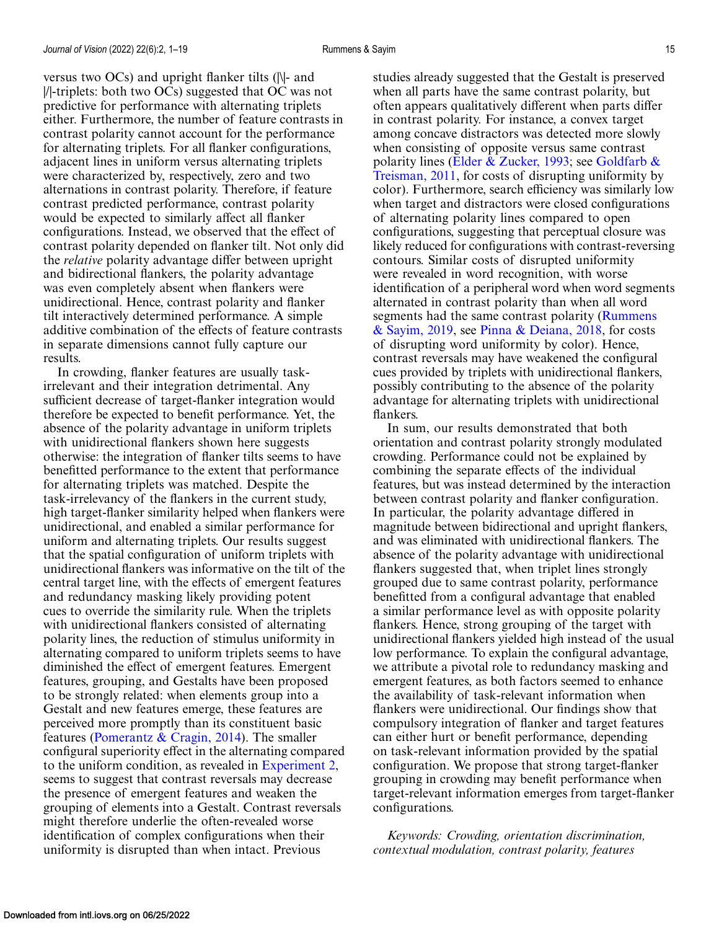versus two OCs) and upright flanker tilts (|\|- and |/|-triplets: both two OCs) suggested that OC was not predictive for performance with alternating triplets either. Furthermore, the number of feature contrasts in contrast polarity cannot account for the performance for alternating triplets. For all flanker configurations, adjacent lines in uniform versus alternating triplets were characterized by, respectively, zero and two alternations in contrast polarity. Therefore, if feature contrast predicted performance, contrast polarity would be expected to similarly affect all flanker configurations. Instead, we observed that the effect of contrast polarity depended on flanker tilt. Not only did the *relative* polarity advantage differ between upright and bidirectional flankers, the polarity advantage was even completely absent when flankers were unidirectional. Hence, contrast polarity and flanker tilt interactively determined performance. A simple additive combination of the effects of feature contrasts in separate dimensions cannot fully capture our results.

In crowding, flanker features are usually taskirrelevant and their integration detrimental. Any sufficient decrease of target-flanker integration would therefore be expected to benefit performance. Yet, the absence of the polarity advantage in uniform triplets with unidirectional flankers shown here suggests otherwise: the integration of flanker tilts seems to have benefitted performance to the extent that performance for alternating triplets was matched. Despite the task-irrelevancy of the flankers in the current study, high target-flanker similarity helped when flankers were unidirectional, and enabled a similar performance for uniform and alternating triplets. Our results suggest that the spatial configuration of uniform triplets with unidirectional flankers was informative on the tilt of the central target line, with the effects of emergent features and redundancy masking likely providing potent cues to override the similarity rule. When the triplets with unidirectional flankers consisted of alternating polarity lines, the reduction of stimulus uniformity in alternating compared to uniform triplets seems to have diminished the effect of emergent features. Emergent features, grouping, and Gestalts have been proposed to be strongly related: when elements group into a Gestalt and new features emerge, these features are perceived more promptly than its constituent basic features [\(Pomerantz & Cragin, 2014\)](#page-17-0). The smaller configural superiority effect in the alternating compared to the uniform condition, as revealed in [Experiment 2,](#page-6-0) seems to suggest that contrast reversals may decrease the presence of emergent features and weaken the grouping of elements into a Gestalt. Contrast reversals might therefore underlie the often-revealed worse identification of complex configurations when their uniformity is disrupted than when intact. Previous

studies already suggested that the Gestalt is preserved when all parts have the same contrast polarity, but often appears qualitatively different when parts differ in contrast polarity. For instance, a convex target among concave distractors was detected more slowly when consisting of opposite versus same contrast polarity lines [\(Elder & Zucker, 1993;](#page-15-0) see Goldfarb & [Treisman, 2011, for costs of disrupting uniformity by](#page-15-0) color). Furthermore, search efficiency was similarly low when target and distractors were closed configurations of alternating polarity lines compared to open configurations, suggesting that perceptual closure was likely reduced for configurations with contrast-reversing contours. Similar costs of disrupted uniformity were revealed in word recognition, with worse identification of a peripheral word when word segments alternated in contrast polarity than when all word [segments had the same contrast polarity \(Rummens](#page-17-0) & Sayim, 2019, see [Pinna & Deiana, 2018,](#page-16-0) for costs of disrupting word uniformity by color). Hence, contrast reversals may have weakened the configural cues provided by triplets with unidirectional flankers, possibly contributing to the absence of the polarity advantage for alternating triplets with unidirectional flankers.

In sum, our results demonstrated that both orientation and contrast polarity strongly modulated crowding. Performance could not be explained by combining the separate effects of the individual features, but was instead determined by the interaction between contrast polarity and flanker configuration. In particular, the polarity advantage differed in magnitude between bidirectional and upright flankers, and was eliminated with unidirectional flankers. The absence of the polarity advantage with unidirectional flankers suggested that, when triplet lines strongly grouped due to same contrast polarity, performance benefitted from a configural advantage that enabled a similar performance level as with opposite polarity flankers. Hence, strong grouping of the target with unidirectional flankers yielded high instead of the usual low performance. To explain the configural advantage, we attribute a pivotal role to redundancy masking and emergent features, as both factors seemed to enhance the availability of task-relevant information when flankers were unidirectional. Our findings show that compulsory integration of flanker and target features can either hurt or benefit performance, depending on task-relevant information provided by the spatial configuration. We propose that strong target-flanker grouping in crowding may benefit performance when target-relevant information emerges from target-flanker configurations.

*Keywords: Crowding, orientation discrimination, contextual modulation, contrast polarity, features*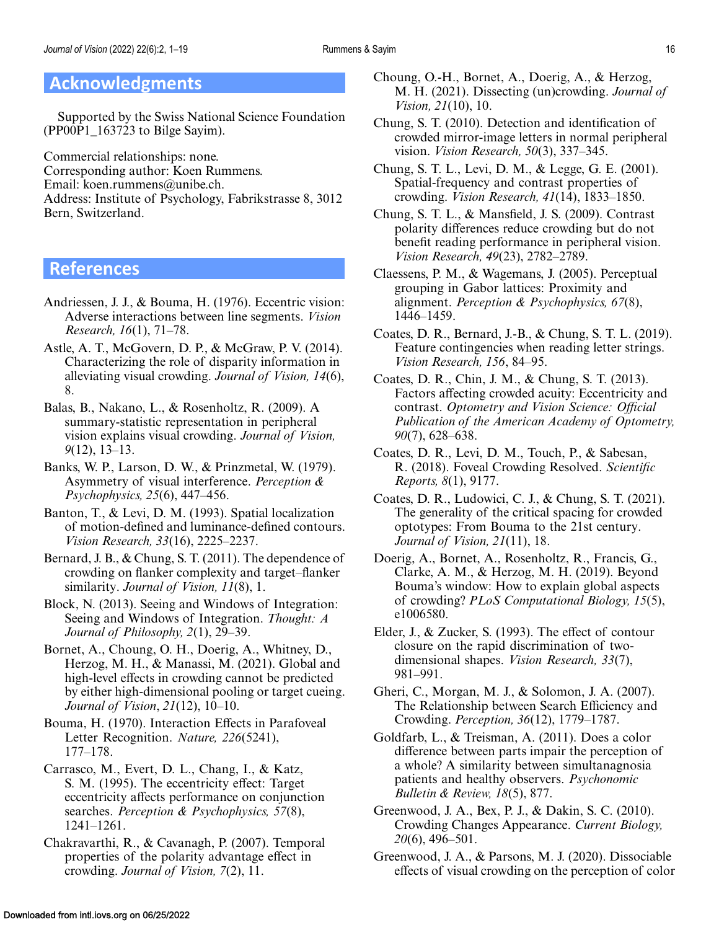# <span id="page-15-0"></span>**Acknowledgments**

Supported by the Swiss National Science Foundation (PP00P1\_163723 to Bilge Sayim).

Commercial relationships: none. Corresponding author: Koen Rummens. Email: koen.rummens@unibe.ch. Address: Institute of Psychology, Fabrikstrasse 8, 3012 Bern, Switzerland.

# **References**

- Andriessen, J. J., & Bouma, H. (1976). Eccentric vision: Adverse interactions between line segments. *Vision Research, 16*(1), 71–78.
- Astle, A. T., McGovern, D. P., & McGraw, P. V. (2014). Characterizing the role of disparity information in alleviating visual crowding. *Journal of Vision, 14*(6), 8.
- Balas, B., Nakano, L., & Rosenholtz, R. (2009). A summary-statistic representation in peripheral vision explains visual crowding. *Journal of Vision, 9*(12), 13–13.
- Banks, W. P., Larson, D. W., & Prinzmetal, W. (1979). Asymmetry of visual interference. *Perception & Psychophysics, 25*(6), 447–456.
- Banton, T., & Levi, D. M. (1993). Spatial localization of motion-defined and luminance-defined contours. *Vision Research, 33*(16), 2225–2237.
- Bernard, J. B., & Chung, S. T. (2011). The dependence of crowding on flanker complexity and target–flanker similarity. *Journal of Vision, 11*(8), 1.
- Block, N. (2013). Seeing and Windows of Integration: Seeing and Windows of Integration. *Thought: A Journal of Philosophy, 2*(1), 29–39.
- Bornet, A., Choung, O. H., Doerig, A., Whitney, D., Herzog, M. H., & Manassi, M. (2021). Global and high-level effects in crowding cannot be predicted by either high-dimensional pooling or target cueing. *Journal of Vision*, *21*(12), 10–10.
- Bouma, H. (1970). Interaction Effects in Parafoveal Letter Recognition. *Nature, 226*(5241), 177–178.
- Carrasco, M., Evert, D. L., Chang, I., & Katz, S. M. (1995). The eccentricity effect: Target eccentricity affects performance on conjunction searches. *Perception & Psychophysics, 57*(8), 1241–1261.
- Chakravarthi, R., & Cavanagh, P. (2007). Temporal properties of the polarity advantage effect in crowding. *Journal of Vision, 7*(2), 11.
- Choung, O.-H., Bornet, A., Doerig, A., & Herzog, M. H. (2021). Dissecting (un)crowding. *Journal of Vision, 21*(10), 10.
- Chung, S. T. (2010). Detection and identification of crowded mirror-image letters in normal peripheral vision. *Vision Research, 50*(3), 337–345.
- Chung, S. T. L., Levi, D. M., & Legge, G. E. (2001). Spatial-frequency and contrast properties of crowding. *Vision Research, 41*(14), 1833–1850.
- Chung, S. T. L., & Mansfield, J. S. (2009). Contrast polarity differences reduce crowding but do not benefit reading performance in peripheral vision. *Vision Research, 49*(23), 2782–2789.
- Claessens, P. M., & Wagemans, J. (2005). Perceptual grouping in Gabor lattices: Proximity and alignment. *Perception & Psychophysics, 67*(8), 1446–1459.
- Coates, D. R., Bernard, J.-B., & Chung, S. T. L. (2019). Feature contingencies when reading letter strings. *Vision Research, 156*, 84–95.
- Coates, D. R., Chin, J. M., & Chung, S. T. (2013). Factors affecting crowded acuity: Eccentricity and contrast. *Optometry and Vision Science: Official Publication of the American Academy of Optometry, 90*(7), 628–638.
- Coates, D. R., Levi, D. M., Touch, P., & Sabesan, R. (2018). Foveal Crowding Resolved. *Scientific Reports, 8*(1), 9177.
- Coates, D. R., Ludowici, C. J., & Chung, S. T. (2021). The generality of the critical spacing for crowded optotypes: From Bouma to the 21st century. *Journal of Vision, 21*(11), 18.
- Doerig, A., Bornet, A., Rosenholtz, R., Francis, G., Clarke, A. M., & Herzog, M. H. (2019). Beyond Bouma's window: How to explain global aspects of crowding? *PLoS Computational Biology, 15*(5), e1006580.
- Elder, J., & Zucker, S. (1993). The effect of contour closure on the rapid discrimination of twodimensional shapes. *Vision Research, 33*(7), 981–991.
- Gheri, C., Morgan, M. J., & Solomon, J. A. (2007). The Relationship between Search Efficiency and Crowding. *Perception, 36*(12), 1779–1787.
- Goldfarb, L., & Treisman, A. (2011). Does a color difference between parts impair the perception of a whole? A similarity between simultanagnosia patients and healthy observers. *Psychonomic Bulletin & Review, 18*(5), 877.
- Greenwood, J. A., Bex, P. J., & Dakin, S. C. (2010). Crowding Changes Appearance. *Current Biology, 20*(6), 496–501.
- Greenwood, J. A., & Parsons, M. J. (2020). Dissociable effects of visual crowding on the perception of color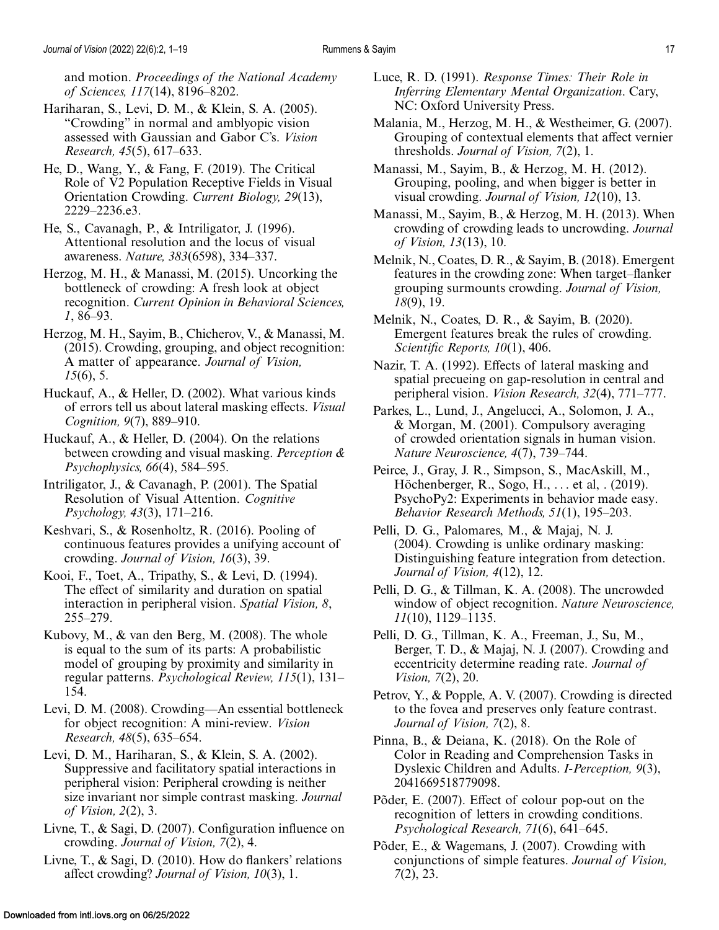<span id="page-16-0"></span>and motion. *Proceedings of the National Academy of Sciences, 117*(14), 8196–8202.

- Hariharan, S., Levi, D. M., & Klein, S. A. (2005). "Crowding" in normal and amblyopic vision assessed with Gaussian and Gabor C's. *Vision Research, 45*(5), 617–633.
- He, D., Wang, Y., & Fang, F. (2019). The Critical Role of V2 Population Receptive Fields in Visual Orientation Crowding. *Current Biology, 29*(13), 2229–2236.e3.
- He, S., Cavanagh, P., & Intriligator, J. (1996). Attentional resolution and the locus of visual awareness. *Nature, 383*(6598), 334–337.
- Herzog, M. H., & Manassi, M. (2015). Uncorking the bottleneck of crowding: A fresh look at object recognition. *Current Opinion in Behavioral Sciences, 1*, 86–93.
- Herzog, M. H., Sayim, B., Chicherov, V., & Manassi, M. (2015). Crowding, grouping, and object recognition: A matter of appearance. *Journal of Vision, 15*(6), 5.
- Huckauf, A., & Heller, D. (2002). What various kinds of errors tell us about lateral masking effects. *Visual Cognition, 9*(7), 889–910.
- Huckauf, A., & Heller, D. (2004). On the relations between crowding and visual masking. *Perception & Psychophysics, 66*(4), 584–595.
- Intriligator, J., & Cavanagh, P. (2001). The Spatial Resolution of Visual Attention. *Cognitive Psychology, 43*(3), 171–216.
- Keshvari, S., & Rosenholtz, R. (2016). Pooling of continuous features provides a unifying account of crowding. *Journal of Vision, 16*(3), 39.
- Kooi, F., Toet, A., Tripathy, S., & Levi, D. (1994). The effect of similarity and duration on spatial interaction in peripheral vision. *Spatial Vision, 8*, 255–279.
- Kubovy, M., & van den Berg, M. (2008). The whole is equal to the sum of its parts: A probabilistic model of grouping by proximity and similarity in regular patterns. *Psychological Review, 115*(1), 131– 154.
- Levi, D. M. (2008). Crowding—An essential bottleneck for object recognition: A mini-review. *Vision Research, 48*(5), 635–654.
- Levi, D. M., Hariharan, S., & Klein, S. A. (2002). Suppressive and facilitatory spatial interactions in peripheral vision: Peripheral crowding is neither size invariant nor simple contrast masking. *Journal of Vision, 2*(2), 3.
- Livne, T., & Sagi, D. (2007). Configuration influence on crowding. *Journal of Vision, 7*(2), 4.
- Livne, T., & Sagi, D. (2010). How do flankers' relations affect crowding? *Journal of Vision, 10*(3), 1.
- Luce, R. D. (1991). *Response Times: Their Role in Inferring Elementary Mental Organization*. Cary, NC: Oxford University Press.
- Malania, M., Herzog, M. H., & Westheimer, G. (2007). Grouping of contextual elements that affect vernier thresholds. *Journal of Vision, 7*(2), 1.
- Manassi, M., Sayim, B., & Herzog, M. H. (2012). Grouping, pooling, and when bigger is better in visual crowding. *Journal of Vision, 12*(10), 13.
- Manassi, M., Sayim, B., & Herzog, M. H. (2013). When crowding of crowding leads to uncrowding. *Journal of Vision, 13*(13), 10.
- Melnik, N., Coates, D. R., & Sayim, B. (2018). Emergent features in the crowding zone: When target–flanker grouping surmounts crowding. *Journal of Vision, 18*(9), 19.
- Melnik, N., Coates, D. R., & Sayim, B. (2020). Emergent features break the rules of crowding. *Scientific Reports, 10*(1), 406.
- Nazir, T. A. (1992). Effects of lateral masking and spatial precueing on gap-resolution in central and peripheral vision. *Vision Research, 32*(4), 771–777.
- Parkes, L., Lund, J., Angelucci, A., Solomon, J. A., & Morgan, M. (2001). Compulsory averaging of crowded orientation signals in human vision. *Nature Neuroscience, 4*(7), 739–744.
- Peirce, J., Gray, J. R., Simpson, S., MacAskill, M., Höchenberger, R., Sogo, H., ... et al, . (2019). PsychoPy2: Experiments in behavior made easy. *Behavior Research Methods, 51*(1), 195–203.
- Pelli, D. G., Palomares, M., & Majaj, N. J. (2004). Crowding is unlike ordinary masking: Distinguishing feature integration from detection. *Journal of Vision, 4*(12), 12.
- Pelli, D. G., & Tillman, K. A. (2008). The uncrowded window of object recognition. *Nature Neuroscience, 11*(10), 1129–1135.
- Pelli, D. G., Tillman, K. A., Freeman, J., Su, M., Berger, T. D., & Majaj, N. J. (2007). Crowding and eccentricity determine reading rate. *Journal of Vision, 7*(2), 20.
- Petrov, Y., & Popple, A. V. (2007). Crowding is directed to the fovea and preserves only feature contrast. *Journal of Vision, 7*(2), 8.
- Pinna, B., & Deiana, K. (2018). On the Role of Color in Reading and Comprehension Tasks in Dyslexic Children and Adults. *I-Perception, 9*(3), 2041669518779098.
- Põder, E. (2007). Effect of colour pop-out on the recognition of letters in crowding conditions. *Psychological Research, 71*(6), 641–645.
- Põder, E., & Wagemans, J. (2007). Crowding with conjunctions of simple features. *Journal of Vision, 7*(2), 23.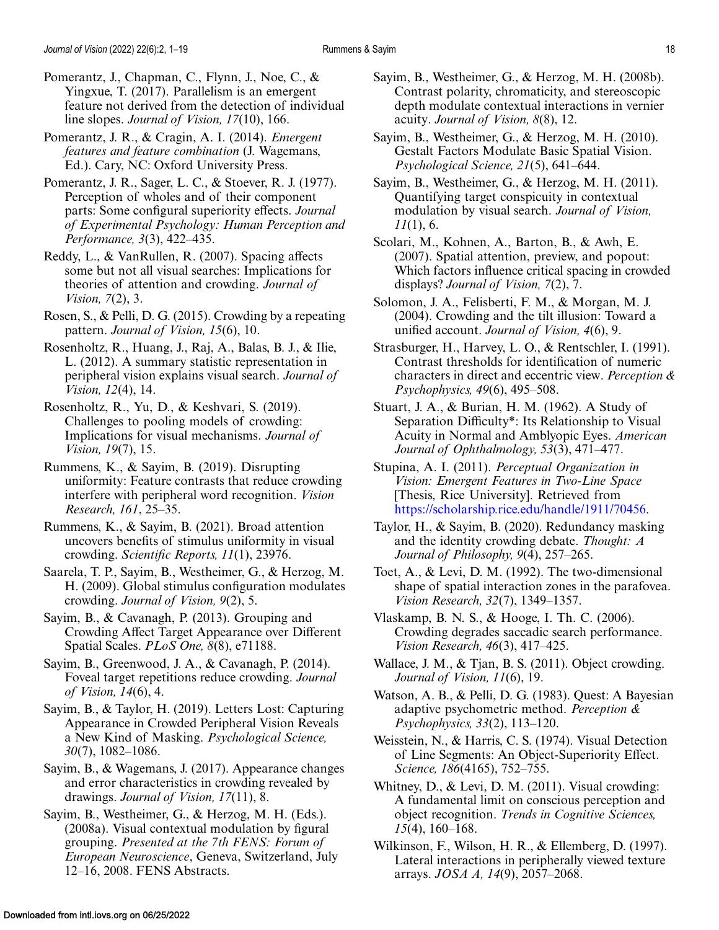- <span id="page-17-0"></span>Pomerantz, J., Chapman, C., Flynn, J., Noe, C., & Yingxue, T. (2017). Parallelism is an emergent feature not derived from the detection of individual line slopes. *Journal of Vision, 17*(10), 166.
- Pomerantz, J. R., & Cragin, A. I. (2014). *Emergent features and feature combination* (J. Wagemans, Ed.). Cary, NC: Oxford University Press.
- Pomerantz, J. R., Sager, L. C., & Stoever, R. J. (1977). Perception of wholes and of their component parts: Some configural superiority effects. *Journal of Experimental Psychology: Human Perception and Performance, 3*(3), 422–435.
- Reddy, L., & VanRullen, R. (2007). Spacing affects some but not all visual searches: Implications for theories of attention and crowding. *Journal of Vision, 7*(2), 3.
- Rosen, S., & Pelli, D. G. (2015). Crowding by a repeating pattern. *Journal of Vision, 15*(6), 10.
- Rosenholtz, R., Huang, J., Raj, A., Balas, B. J., & Ilie, L. (2012). A summary statistic representation in peripheral vision explains visual search. *Journal of Vision, 12*(4), 14.
- Rosenholtz, R., Yu, D., & Keshvari, S. (2019). Challenges to pooling models of crowding: Implications for visual mechanisms. *Journal of Vision, 19*(7), 15.
- Rummens, K., & Sayim, B. (2019). Disrupting uniformity: Feature contrasts that reduce crowding interfere with peripheral word recognition. *Vision Research, 161*, 25–35.
- Rummens, K., & Sayim, B. (2021). Broad attention uncovers benefits of stimulus uniformity in visual crowding. *Scientific Reports, 11*(1), 23976.
- Saarela, T. P., Sayim, B., Westheimer, G., & Herzog, M. H. (2009). Global stimulus configuration modulates crowding. *Journal of Vision, 9*(2), 5.
- Sayim, B., & Cavanagh, P. (2013). Grouping and Crowding Affect Target Appearance over Different Spatial Scales. *PLoS One, 8*(8), e71188.
- Sayim, B., Greenwood, J. A., & Cavanagh, P. (2014). Foveal target repetitions reduce crowding. *Journal of Vision, 14*(6), 4.
- Sayim, B., & Taylor, H. (2019). Letters Lost: Capturing Appearance in Crowded Peripheral Vision Reveals a New Kind of Masking. *Psychological Science, 30*(7), 1082–1086.
- Sayim, B., & Wagemans, J. (2017). Appearance changes and error characteristics in crowding revealed by drawings. *Journal of Vision, 17*(11), 8.
- Sayim, B., Westheimer, G., & Herzog, M. H. (Eds.). (2008a). Visual contextual modulation by figural grouping. *Presented at the 7th FENS: Forum of European Neuroscience*, Geneva, Switzerland, July 12–16, 2008. FENS Abstracts.
- Sayim, B., Westheimer, G., & Herzog, M. H. (2008b). Contrast polarity, chromaticity, and stereoscopic depth modulate contextual interactions in vernier acuity. *Journal of Vision, 8*(8), 12.
- Sayim, B., Westheimer, G., & Herzog, M. H. (2010). Gestalt Factors Modulate Basic Spatial Vision. *Psychological Science, 21*(5), 641–644.
- Sayim, B., Westheimer, G., & Herzog, M. H. (2011). Quantifying target conspicuity in contextual modulation by visual search. *Journal of Vision, 11*(1), 6.
- Scolari, M., Kohnen, A., Barton, B., & Awh, E. (2007). Spatial attention, preview, and popout: Which factors influence critical spacing in crowded displays? *Journal of Vision, 7*(2), 7.
- Solomon, J. A., Felisberti, F. M., & Morgan, M. J. (2004). Crowding and the tilt illusion: Toward a unified account. *Journal of Vision, 4*(6), 9.
- Strasburger, H., Harvey, L. O., & Rentschler, I. (1991). Contrast thresholds for identification of numeric characters in direct and eccentric view. *Perception & Psychophysics, 49*(6), 495–508.
- Stuart, J. A., & Burian, H. M. (1962). A Study of Separation Difficulty\*: Its Relationship to Visual Acuity in Normal and Amblyopic Eyes. *American Journal of Ophthalmology, 53*(3), 471–477.
- Stupina, A. I. (2011). *Perceptual Organization in Vision: Emergent Features in Two-Line Space* [Thesis, Rice University]. Retrieved from [https://scholarship.rice.edu/handle/1911/70456.](https://scholarship.rice.edu/handle/1911/70456)
- Taylor, H., & Sayim, B. (2020). Redundancy masking and the identity crowding debate. *Thought: A Journal of Philosophy, 9*(4), 257–265.
- Toet, A., & Levi, D. M. (1992). The two-dimensional shape of spatial interaction zones in the parafovea. *Vision Research, 32*(7), 1349–1357.
- Vlaskamp, B. N. S., & Hooge, I. Th. C. (2006). Crowding degrades saccadic search performance. *Vision Research, 46*(3), 417–425.
- Wallace, J. M., & Tjan, B. S. (2011). Object crowding. *Journal of Vision, 11*(6), 19.
- Watson, A. B., & Pelli, D. G. (1983). Quest: A Bayesian adaptive psychometric method. *Perception & Psychophysics, 33*(2), 113–120.
- Weisstein, N., & Harris, C. S. (1974). Visual Detection of Line Segments: An Object-Superiority Effect. *Science, 186*(4165), 752–755.
- Whitney, D., & Levi, D. M. (2011). Visual crowding: A fundamental limit on conscious perception and object recognition. *Trends in Cognitive Sciences, 15*(4), 160–168.
- Wilkinson, F., Wilson, H. R., & Ellemberg, D. (1997). Lateral interactions in peripherally viewed texture arrays. *JOSA A, 14*(9), 2057–2068.